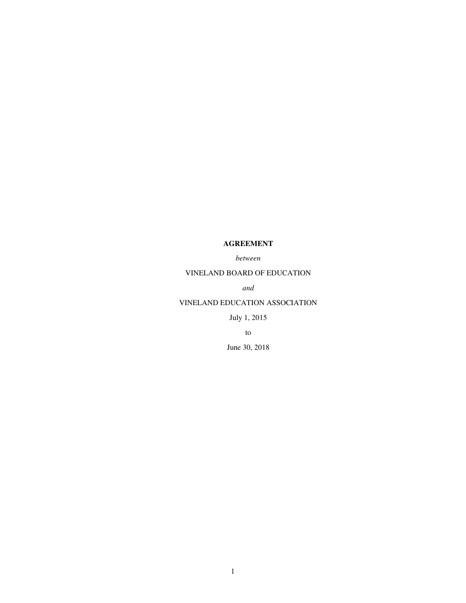# **AGREEMENT**

*between*

# VINELAND BOARD OF EDUCATION

*and*

## VINELAND EDUCATION ASSOCIATION

July 1, 2015

to

June 30, 2018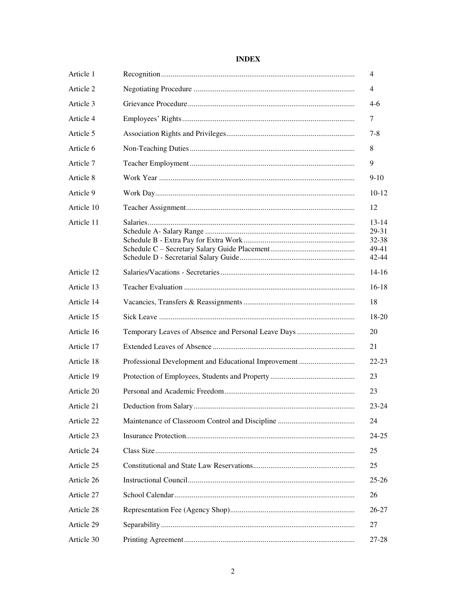| Article 1  | 4                                             |
|------------|-----------------------------------------------|
| Article 2  | 4                                             |
| Article 3  | $4-6$                                         |
| Article 4  | 7                                             |
| Article 5  | $7 - 8$                                       |
| Article 6  | 8                                             |
| Article 7  | 9                                             |
| Article 8  | $9-10$                                        |
| Article 9  | 10-12                                         |
| Article 10 | 12                                            |
| Article 11 | 13-14<br>29-31<br>32-38<br>49-41<br>$42 - 44$ |
| Article 12 | $14-16$                                       |
| Article 13 | $16-18$                                       |
| Article 14 | 18                                            |
| Article 15 | 18-20                                         |
| Article 16 | 20                                            |
| Article 17 | 21                                            |
| Article 18 | $22 - 23$                                     |
| Article 19 | 23                                            |
| Article 20 | 23                                            |
| Article 21 | 23-24                                         |
| Article 22 | 24                                            |
| Article 23 | 24-25                                         |
| Article 24 | 25                                            |
| Article 25 | 25                                            |
| Article 26 | $25 - 26$                                     |
| Article 27 | 26                                            |
| Article 28 | 26-27                                         |
| Article 29 | 27                                            |
| Article 30 | 27-28                                         |

# **INDEX**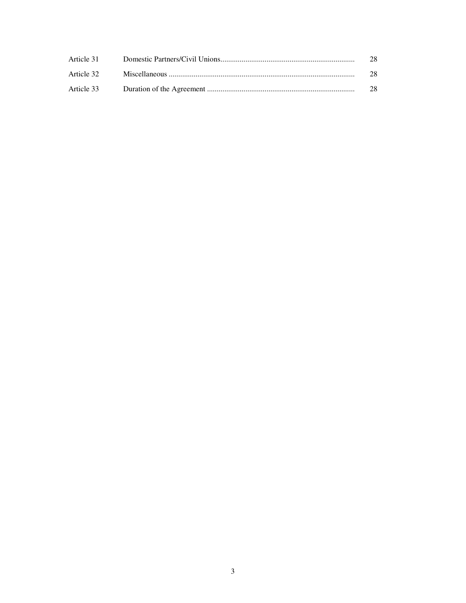| Article 31 | 28 |
|------------|----|
| Article 32 | 28 |
| Article 33 | 28 |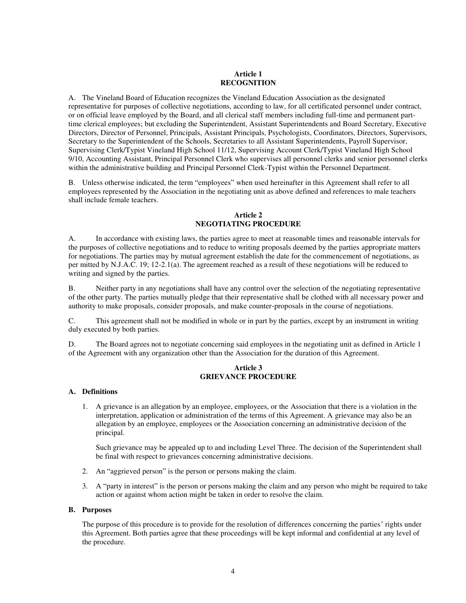### **Article 1 RECOGNITION**

A. The Vineland Board of Education recognizes the Vineland Education Association as the designated representative for purposes of collective negotiations, according to law, for all certificated personnel under contract, or on official leave employed by the Board, and all clerical staff members including full-time and permanent parttime clerical employees; but excluding the Superintendent, Assistant Superintendents and Board Secretary, Executive Directors, Director of Personnel, Principals, Assistant Principals, Psychologists, Coordinators, Directors, Supervisors, Secretary to the Superintendent of the Schools, Secretaries to all Assistant Superintendents, Payroll Supervisor, Supervising Clerk/Typist Vineland High School 11/12, Supervising Account Clerk/Typist Vineland High School 9/10, Accounting Assistant, Principal Personnel Clerk who supervises all personnel clerks and senior personnel clerks within the administrative building and Principal Personnel Clerk-Typist within the Personnel Department.

B. Unless otherwise indicated, the term "employees" when used hereinafter in this Agreement shall refer to all employees represented by the Association in the negotiating unit as above defined and references to male teachers shall include female teachers.

## **Article 2 NEGOTIATING PROCEDURE**

A. In accordance with existing laws, the parties agree to meet at reasonable times and reasonable intervals for the purposes of collective negotiations and to reduce to writing proposals deemed by the parties appropriate matters for negotiations. The parties may by mutual agreement establish the date for the commencement of negotiations, as per mitted by N.J.A.C. 19; 12-2.1(a). The agreement reached as a result of these negotiations will be reduced to writing and signed by the parties.

B. Neither party in any negotiations shall have any control over the selection of the negotiating representative of the other party. The parties mutually pledge that their representative shall be clothed with all necessary power and authority to make proposals, consider proposals, and make counter-proposals in the course of negotiations.

C. This agreement shall not be modified in whole or in part by the parties, except by an instrument in writing duly executed by both parties.

D. The Board agrees not to negotiate concerning said employees in the negotiating unit as defined in Article 1 of the Agreement with any organization other than the Association for the duration of this Agreement.

## **Article 3 GRIEVANCE PROCEDURE**

## **A. Definitions**

1. A grievance is an allegation by an employee, employees, or the Association that there is a violation in the interpretation, application or administration of the terms of this Agreement. A grievance may also be an allegation by an employee, employees or the Association concerning an administrative decision of the principal.

Such grievance may be appealed up to and including Level Three. The decision of the Superintendent shall be final with respect to grievances concerning administrative decisions.

- 2. An "aggrieved person" is the person or persons making the claim.
- 3. A "party in interest" is the person or persons making the claim and any person who might be required to take action or against whom action might be taken in order to resolve the claim.

#### **B. Purposes**

The purpose of this procedure is to provide for the resolution of differences concerning the parties' rights under this Agreement. Both parties agree that these proceedings will be kept informal and confidential at any level of the procedure.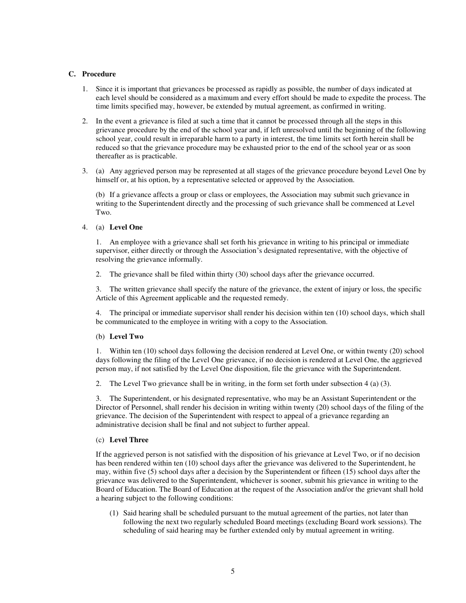### **C. Procedure**

- 1. Since it is important that grievances be processed as rapidly as possible, the number of days indicated at each level should be considered as a maximum and every effort should be made to expedite the process. The time limits specified may, however, be extended by mutual agreement, as confirmed in writing.
- 2. In the event a grievance is filed at such a time that it cannot be processed through all the steps in this grievance procedure by the end of the school year and, if left unresolved until the beginning of the following school year, could result in irreparable harm to a party in interest, the time limits set forth herein shall be reduced so that the grievance procedure may be exhausted prior to the end of the school year or as soon thereafter as is practicable.
- 3. (a) Any aggrieved person may be represented at all stages of the grievance procedure beyond Level One by himself or, at his option, by a representative selected or approved by the Association.

(b) If a grievance affects a group or class or employees, the Association may submit such grievance in writing to the Superintendent directly and the processing of such grievance shall be commenced at Level Two.

### 4. (a) **Level One**

1. An employee with a grievance shall set forth his grievance in writing to his principal or immediate supervisor, either directly or through the Association's designated representative, with the objective of resolving the grievance informally.

2. The grievance shall be filed within thirty (30) school days after the grievance occurred.

3. The written grievance shall specify the nature of the grievance, the extent of injury or loss, the specific Article of this Agreement applicable and the requested remedy.

4. The principal or immediate supervisor shall render his decision within ten (10) school days, which shall be communicated to the employee in writing with a copy to the Association.

## (b) **Level Two**

1. Within ten (10) school days following the decision rendered at Level One, or within twenty (20) school days following the filing of the Level One grievance, if no decision is rendered at Level One, the aggrieved person may, if not satisfied by the Level One disposition, file the grievance with the Superintendent.

2. The Level Two grievance shall be in writing, in the form set forth under subsection 4 (a) (3).

3. The Superintendent, or his designated representative, who may be an Assistant Superintendent or the Director of Personnel, shall render his decision in writing within twenty (20) school days of the filing of the grievance. The decision of the Superintendent with respect to appeal of a grievance regarding an administrative decision shall be final and not subject to further appeal.

#### (c) **Level Three**

If the aggrieved person is not satisfied with the disposition of his grievance at Level Two, or if no decision has been rendered within ten (10) school days after the grievance was delivered to the Superintendent, he may, within five (5) school days after a decision by the Superintendent or fifteen (15) school days after the grievance was delivered to the Superintendent, whichever is sooner, submit his grievance in writing to the Board of Education. The Board of Education at the request of the Association and/or the grievant shall hold a hearing subject to the following conditions:

(1) Said hearing shall be scheduled pursuant to the mutual agreement of the parties, not later than following the next two regularly scheduled Board meetings (excluding Board work sessions). The scheduling of said hearing may be further extended only by mutual agreement in writing.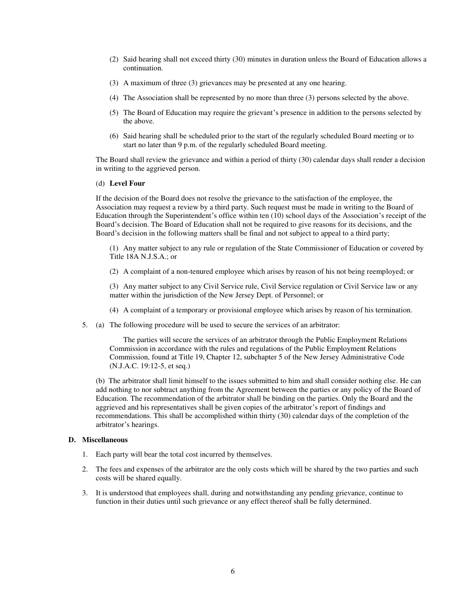- (2) Said hearing shall not exceed thirty (30) minutes in duration unless the Board of Education allows a continuation.
- (3) A maximum of three (3) grievances may be presented at any one hearing.
- (4) The Association shall be represented by no more than three (3) persons selected by the above.
- (5) The Board of Education may require the grievant's presence in addition to the persons selected by the above.
- (6) Said hearing shall be scheduled prior to the start of the regularly scheduled Board meeting or to start no later than 9 p.m. of the regularly scheduled Board meeting.

The Board shall review the grievance and within a period of thirty (30) calendar days shall render a decision in writing to the aggrieved person.

#### (d) **Level Four**

If the decision of the Board does not resolve the grievance to the satisfaction of the employee, the Association may request a review by a third party. Such request must be made in writing to the Board of Education through the Superintendent's office within ten (10) school days of the Association's receipt of the Board's decision. The Board of Education shall not be required to give reasons for its decisions, and the Board's decision in the following matters shall be final and not subject to appeal to a third party;

(1) Any matter subject to any rule or regulation of the State Commissioner of Education or covered by Title 18A N.J.S.A.; or

(2) A complaint of a non-tenured employee which arises by reason of his not being reemployed; or

(3) Any matter subject to any Civil Service rule, Civil Service regulation or Civil Service law or any matter within the jurisdiction of the New Jersey Dept. of Personnel; or

- (4) A complaint of a temporary or provisional employee which arises by reason of his termination.
- 5. (a) The following procedure will be used to secure the services of an arbitrator:

 The parties will secure the services of an arbitrator through the Public Employment Relations Commission in accordance with the rules and regulations of the Public Employment Relations Commission, found at Title 19, Chapter 12, subchapter 5 of the New Jersey Administrative Code (N.J.A.C. 19:12-5, et seq.)

(b) The arbitrator shall limit himself to the issues submitted to him and shall consider nothing else. He can add nothing to nor subtract anything from the Agreement between the parties or any policy of the Board of Education. The recommendation of the arbitrator shall be binding on the parties. Only the Board and the aggrieved and his representatives shall be given copies of the arbitrator's report of findings and recommendations. This shall be accomplished within thirty (30) calendar days of the completion of the arbitrator's hearings.

### **D. Miscellaneous**

- 1. Each party will bear the total cost incurred by themselves.
- 2. The fees and expenses of the arbitrator are the only costs which will be shared by the two parties and such costs will be shared equally.
- 3. It is understood that employees shall, during and notwithstanding any pending grievance, continue to function in their duties until such grievance or any effect thereof shall be fully determined.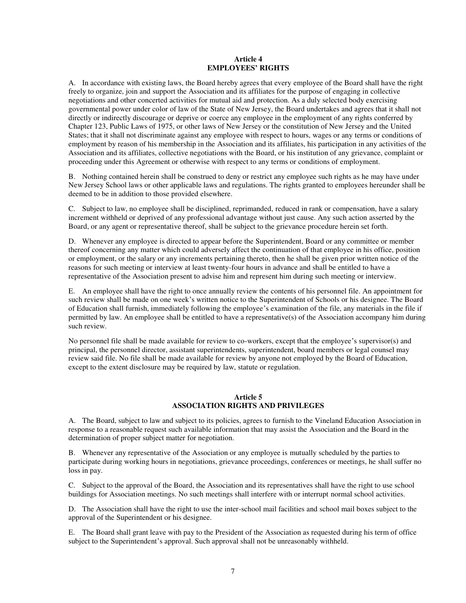#### **Article 4 EMPLOYEES' RIGHTS**

A. In accordance with existing laws, the Board hereby agrees that every employee of the Board shall have the right freely to organize, join and support the Association and its affiliates for the purpose of engaging in collective negotiations and other concerted activities for mutual aid and protection. As a duly selected body exercising governmental power under color of law of the State of New Jersey, the Board undertakes and agrees that it shall not directly or indirectly discourage or deprive or coerce any employee in the employment of any rights conferred by Chapter 123, Public Laws of 1975, or other laws of New Jersey or the constitution of New Jersey and the United States; that it shall not discriminate against any employee with respect to hours, wages or any terms or conditions of employment by reason of his membership in the Association and its affiliates, his participation in any activities of the Association and its affiliates, collective negotiations with the Board, or his institution of any grievance, complaint or proceeding under this Agreement or otherwise with respect to any terms or conditions of employment.

B. Nothing contained herein shall be construed to deny or restrict any employee such rights as he may have under New Jersey School laws or other applicable laws and regulations. The rights granted to employees hereunder shall be deemed to be in addition to those provided elsewhere.

C. Subject to law, no employee shall be disciplined, reprimanded, reduced in rank or compensation, have a salary increment withheld or deprived of any professional advantage without just cause. Any such action asserted by the Board, or any agent or representative thereof, shall be subject to the grievance procedure herein set forth.

D. Whenever any employee is directed to appear before the Superintendent, Board or any committee or member thereof concerning any matter which could adversely affect the continuation of that employee in his office, position or employment, or the salary or any increments pertaining thereto, then he shall be given prior written notice of the reasons for such meeting or interview at least twenty-four hours in advance and shall be entitled to have a representative of the Association present to advise him and represent him during such meeting or interview.

E. An employee shall have the right to once annually review the contents of his personnel file. An appointment for such review shall be made on one week's written notice to the Superintendent of Schools or his designee. The Board of Education shall furnish, immediately following the employee's examination of the file, any materials in the file if permitted by law. An employee shall be entitled to have a representative(s) of the Association accompany him during such review.

No personnel file shall be made available for review to co-workers, except that the employee's supervisor(s) and principal, the personnel director, assistant superintendents, superintendent, board members or legal counsel may review said file. No file shall be made available for review by anyone not employed by the Board of Education, except to the extent disclosure may be required by law, statute or regulation.

## **Article 5 ASSOCIATION RIGHTS AND PRIVILEGES**

A. The Board, subject to law and subject to its policies, agrees to furnish to the Vineland Education Association in response to a reasonable request such available information that may assist the Association and the Board in the determination of proper subject matter for negotiation.

B. Whenever any representative of the Association or any employee is mutually scheduled by the parties to participate during working hours in negotiations, grievance proceedings, conferences or meetings, he shall suffer no loss in pay.

C. Subject to the approval of the Board, the Association and its representatives shall have the right to use school buildings for Association meetings. No such meetings shall interfere with or interrupt normal school activities.

D. The Association shall have the right to use the inter-school mail facilities and school mail boxes subject to the approval of the Superintendent or his designee.

E. The Board shall grant leave with pay to the President of the Association as requested during his term of office subject to the Superintendent's approval. Such approval shall not be unreasonably withheld.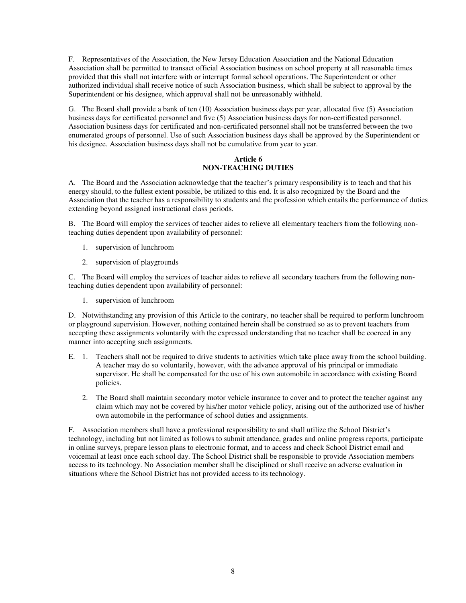F. Representatives of the Association, the New Jersey Education Association and the National Education Association shall be permitted to transact official Association business on school property at all reasonable times provided that this shall not interfere with or interrupt formal school operations. The Superintendent or other authorized individual shall receive notice of such Association business, which shall be subject to approval by the Superintendent or his designee, which approval shall not be unreasonably withheld.

G. The Board shall provide a bank of ten (10) Association business days per year, allocated five (5) Association business days for certificated personnel and five (5) Association business days for non-certificated personnel. Association business days for certificated and non-certificated personnel shall not be transferred between the two enumerated groups of personnel. Use of such Association business days shall be approved by the Superintendent or his designee. Association business days shall not be cumulative from year to year.

## **Article 6 NON-TEACHING DUTIES**

A. The Board and the Association acknowledge that the teacher's primary responsibility is to teach and that his energy should, to the fullest extent possible, be utilized to this end. It is also recognized by the Board and the Association that the teacher has a responsibility to students and the profession which entails the performance of duties extending beyond assigned instructional class periods.

B. The Board will employ the services of teacher aides to relieve all elementary teachers from the following nonteaching duties dependent upon availability of personnel:

- 1. supervision of lunchroom
- 2. supervision of playgrounds

C. The Board will employ the services of teacher aides to relieve all secondary teachers from the following nonteaching duties dependent upon availability of personnel:

1. supervision of lunchroom

D. Notwithstanding any provision of this Article to the contrary, no teacher shall be required to perform lunchroom or playground supervision. However, nothing contained herein shall be construed so as to prevent teachers from accepting these assignments voluntarily with the expressed understanding that no teacher shall be coerced in any manner into accepting such assignments.

- E. 1. Teachers shall not be required to drive students to activities which take place away from the school building. A teacher may do so voluntarily, however, with the advance approval of his principal or immediate supervisor. He shall be compensated for the use of his own automobile in accordance with existing Board policies.
	- 2. The Board shall maintain secondary motor vehicle insurance to cover and to protect the teacher against any claim which may not be covered by his/her motor vehicle policy, arising out of the authorized use of his/her own automobile in the performance of school duties and assignments.

F. Association members shall have a professional responsibility to and shall utilize the School District's technology, including but not limited as follows to submit attendance, grades and online progress reports, participate in online surveys, prepare lesson plans to electronic format, and to access and check School District email and voicemail at least once each school day. The School District shall be responsible to provide Association members access to its technology. No Association member shall be disciplined or shall receive an adverse evaluation in situations where the School District has not provided access to its technology.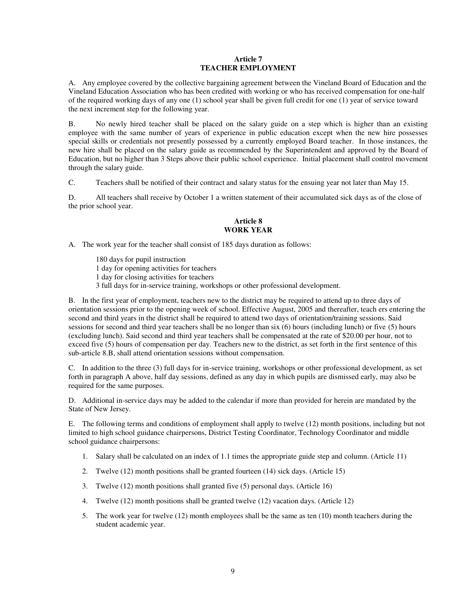### **Article 7 TEACHER EMPLOYMENT**

A. Any employee covered by the collective bargaining agreement between the Vineland Board of Education and the Vineland Education Association who has been credited with working or who has received compensation for one-half of the required working days of any one (1) school year shall be given full credit for one (1) year of service toward the next increment step for the following year.

B. No newly hired teacher shall be placed on the salary guide on a step which is higher than an existing employee with the same number of years of experience in public education except when the new hire possesses special skills or credentials not presently possessed by a currently employed Board teacher. In those instances, the new hire shall be placed on the salary guide as recommended by the Superintendent and approved by the Board of Education, but no higher than 3 Steps above their public school experience. Initial placement shall control movement through the salary guide.

C. Teachers shall be notified of their contract and salary status for the ensuing year not later than May 15.

D. All teachers shall receive by October 1 a written statement of their accumulated sick days as of the close of the prior school year.

### **Article 8 WORK YEAR**

A. The work year for the teacher shall consist of 185 days duration as follows:

180 days for pupil instruction

1 day for opening activities for teachers

1 day for closing activities for teachers

3 full days for in-service training, workshops or other professional development.

B. In the first year of employment, teachers new to the district may be required to attend up to three days of orientation sessions prior to the opening week of school. Effective August, 2005 and thereafter, teach ers entering the second and third years in the district shall be required to attend two days of orientation/training sessions. Said sessions for second and third year teachers shall be no longer than six (6) hours (including lunch) or five (5) hours (excluding lunch). Said second and third year teachers shall be compensated at the rate of \$20.00 per hour, not to exceed five (5) hours of compensation per day. Teachers new to the district, as set forth in the first sentence of this sub-article 8.B, shall attend orientation sessions without compensation.

C. In addition to the three (3) full days for in-service training, workshops or other professional development, as set forth in paragraph A above, half day sessions, defined as any day in which pupils are dismissed early, may also be required for the same purposes.

D. Additional in-service days may be added to the calendar if more than provided for herein are mandated by the State of New Jersey.

E. The following terms and conditions of employment shall apply to twelve (12) month positions, including but not limited to high school guidance chairpersons, District Testing Coordinator, Technology Coordinator and middle school guidance chairpersons:

- 1. Salary shall be calculated on an index of 1.1 times the appropriate guide step and column. (Article 11)
- 2. Twelve (12) month positions shall be granted fourteen (14) sick days. (Article 15)
- 3. Twelve (12) month positions shall granted five (5) personal days. (Article 16)
- 4. Twelve (12) month positions shall be granted twelve (12) vacation days. (Article 12)
- 5. The work year for twelve (12) month employees shall be the same as ten (10) month teachers during the student academic year.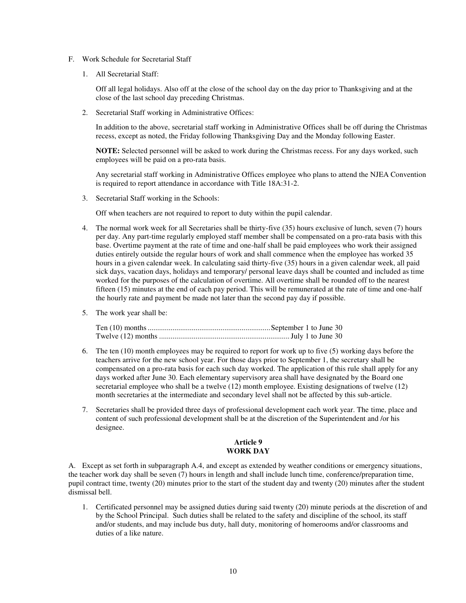- F. Work Schedule for Secretarial Staff
	- 1. All Secretarial Staff:

Off all legal holidays. Also off at the close of the school day on the day prior to Thanksgiving and at the close of the last school day preceding Christmas.

2. Secretarial Staff working in Administrative Offices:

In addition to the above, secretarial staff working in Administrative Offices shall be off during the Christmas recess, except as noted, the Friday following Thanksgiving Day and the Monday following Easter.

**NOTE:** Selected personnel will be asked to work during the Christmas recess. For any days worked, such employees will be paid on a pro-rata basis.

Any secretarial staff working in Administrative Offices employee who plans to attend the NJEA Convention is required to report attendance in accordance with Title 18A:31-2.

3. Secretarial Staff working in the Schools:

Off when teachers are not required to report to duty within the pupil calendar.

- 4. The normal work week for all Secretaries shall be thirty-five (35) hours exclusive of lunch, seven (7) hours per day. Any part-time regularly employed staff member shall be compensated on a pro-rata basis with this base. Overtime payment at the rate of time and one-half shall be paid employees who work their assigned duties entirely outside the regular hours of work and shall commence when the employee has worked 35 hours in a given calendar week. In calculating said thirty-five (35) hours in a given calendar week, all paid sick days, vacation days, holidays and temporary/ personal leave days shall be counted and included as time worked for the purposes of the calculation of overtime. All overtime shall be rounded off to the nearest fifteen (15) minutes at the end of each pay period. This will be remunerated at the rate of time and one-half the hourly rate and payment be made not later than the second pay day if possible.
- 5. The work year shall be:

- 6. The ten (10) month employees may be required to report for work up to five (5) working days before the teachers arrive for the new school year. For those days prior to September 1, the secretary shall be compensated on a pro-rata basis for each such day worked. The application of this rule shall apply for any days worked after June 30. Each elementary supervisory area shall have designated by the Board one secretarial employee who shall be a twelve (12) month employee. Existing designations of twelve (12) month secretaries at the intermediate and secondary level shall not be affected by this sub-article.
- 7. Secretaries shall be provided three days of professional development each work year. The time, place and content of such professional development shall be at the discretion of the Superintendent and /or his designee.

### **Article 9 WORK DAY**

A. Except as set forth in subparagraph A.4, and except as extended by weather conditions or emergency situations, the teacher work day shall be seven (7) hours in length and shall include lunch time, conference/preparation time, pupil contract time, twenty (20) minutes prior to the start of the student day and twenty (20) minutes after the student dismissal bell.

1. Certificated personnel may be assigned duties during said twenty (20) minute periods at the discretion of and by the School Principal. Such duties shall be related to the safety and discipline of the school, its staff and/or students, and may include bus duty, hall duty, monitoring of homerooms and/or classrooms and duties of a like nature.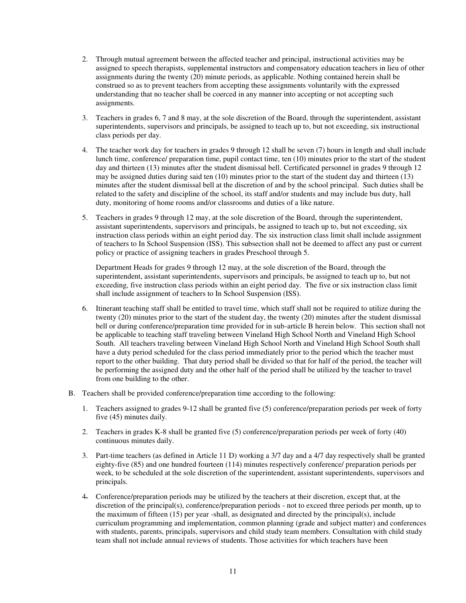- 2. Through mutual agreement between the affected teacher and principal, instructional activities may be assigned to speech therapists, supplemental instructors and compensatory education teachers in lieu of other assignments during the twenty (20) minute periods, as applicable. Nothing contained herein shall be construed so as to prevent teachers from accepting these assignments voluntarily with the expressed understanding that no teacher shall be coerced in any manner into accepting or not accepting such assignments.
- 3. Teachers in grades 6, 7 and 8 may, at the sole discretion of the Board, through the superintendent, assistant superintendents, supervisors and principals, be assigned to teach up to, but not exceeding, six instructional class periods per day.
- 4. The teacher work day for teachers in grades 9 through 12 shall be seven (7) hours in length and shall include lunch time, conference/ preparation time, pupil contact time, ten (10) minutes prior to the start of the student day and thirteen (13) minutes after the student dismissal bell. Certificated personnel in grades 9 through 12 may be assigned duties during said ten (10) minutes prior to the start of the student day and thirteen (13) minutes after the student dismissal bell at the discretion of and by the school principal. Such duties shall be related to the safety and discipline of the school, its staff and/or students and may include bus duty, hall duty, monitoring of home rooms and/or classrooms and duties of a like nature.
- 5. Teachers in grades 9 through 12 may, at the sole discretion of the Board, through the superintendent, assistant superintendents, supervisors and principals, be assigned to teach up to, but not exceeding, six instruction class periods within an eight period day. The six instruction class limit shall include assignment of teachers to In School Suspension (ISS). This subsection shall not be deemed to affect any past or current policy or practice of assigning teachers in grades Preschool through 5.

Department Heads for grades 9 through 12 may, at the sole discretion of the Board, through the superintendent, assistant superintendents, supervisors and principals, be assigned to teach up to, but not exceeding, five instruction class periods within an eight period day. The five or six instruction class limit shall include assignment of teachers to In School Suspension (ISS).

- 6. Itinerant teaching staff shall be entitled to travel time, which staff shall not be required to utilize during the twenty (20) minutes prior to the start of the student day, the twenty (20) minutes after the student dismissal bell or during conference/preparation time provided for in sub-article B herein below. This section shall not be applicable to teaching staff traveling between Vineland High School North and Vineland High School South. All teachers traveling between Vineland High School North and Vineland High School South shall have a duty period scheduled for the class period immediately prior to the period which the teacher must report to the other building. That duty period shall be divided so that for half of the period, the teacher will be performing the assigned duty and the other half of the period shall be utilized by the teacher to travel from one building to the other.
- B. Teachers shall be provided conference/preparation time according to the following:
	- 1. Teachers assigned to grades 9-12 shall be granted five (5) conference/preparation periods per week of forty five (45) minutes daily.
	- 2. Teachers in grades K-8 shall be granted five (5) conference/preparation periods per week of forty (40) continuous minutes daily.
	- 3. Part-time teachers (as defined in Article 11 D) working a 3/7 day and a 4/7 day respectively shall be granted eighty-five (85) and one hundred fourteen (114) minutes respectively conference/ preparation periods per week, to be scheduled at the sole discretion of the superintendent, assistant superintendents, supervisors and principals.
	- 4. Conference/preparation periods may be utilized by the teachers at their discretion, except that, at the discretion of the principal(s), conference/preparation periods - not to exceed three periods per month, up to the maximum of fifteen (15) per year -shall, as designated and directed by the principal(s), include curriculum programming and implementation, common planning (grade and subject matter) and conferences with students, parents, principals, supervisors and child study team members. Consultation with child study team shall not include annual reviews of students. Those activities for which teachers have been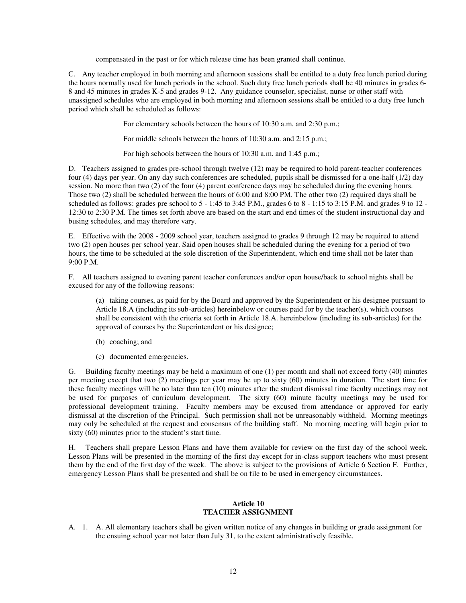compensated in the past or for which release time has been granted shall continue.

C. Any teacher employed in both morning and afternoon sessions shall be entitled to a duty free lunch period during the hours normally used for lunch periods in the school. Such duty free lunch periods shall be 40 minutes in grades 6- 8 and 45 minutes in grades K-5 and grades 9-12. Any guidance counselor, specialist, nurse or other staff with unassigned schedules who are employed in both morning and afternoon sessions shall be entitled to a duty free lunch period which shall be scheduled as follows:

For elementary schools between the hours of 10:30 a.m. and 2:30 p.m.;

For middle schools between the hours of 10:30 a.m. and 2:15 p.m.;

For high schools between the hours of 10:30 a.m. and 1:45 p.m.;

D. Teachers assigned to grades pre-school through twelve (12) may be required to hold parent-teacher conferences four (4) days per year. On any day such conferences are scheduled, pupils shall be dismissed for a one-half (1/2) day session. No more than two (2) of the four (4) parent conference days may be scheduled during the evening hours. Those two (2) shall be scheduled between the hours of 6:00 and 8:00 PM. The other two (2) required days shall be scheduled as follows: grades pre school to 5 - 1:45 to 3:45 P.M., grades 6 to 8 - 1:15 to 3:15 P.M. and grades 9 to 12 - 12:30 to 2:30 P.M. The times set forth above are based on the start and end times of the student instructional day and busing schedules, and may therefore vary.

E. Effective with the 2008 - 2009 school year, teachers assigned to grades 9 through 12 may be required to attend two (2) open houses per school year. Said open houses shall be scheduled during the evening for a period of two hours, the time to be scheduled at the sole discretion of the Superintendent, which end time shall not be later than  $9.00 P M$ 

F. All teachers assigned to evening parent teacher conferences and/or open house/back to school nights shall be excused for any of the following reasons:

(a) taking courses, as paid for by the Board and approved by the Superintendent or his designee pursuant to Article 18.A (including its sub-articles) hereinbelow or courses paid for by the teacher(s), which courses shall be consistent with the criteria set forth in Article 18.A. hereinbelow (including its sub-articles) for the approval of courses by the Superintendent or his designee;

- (b) coaching; and
- (c) documented emergencies.

G. Building faculty meetings may be held a maximum of one (1) per month and shall not exceed forty (40) minutes per meeting except that two (2) meetings per year may be up to sixty (60) minutes in duration. The start time for these faculty meetings will be no later than ten (10) minutes after the student dismissal time faculty meetings may not be used for purposes of curriculum development. The sixty (60) minute faculty meetings may be used for professional development training. Faculty members may be excused from attendance or approved for early dismissal at the discretion of the Principal. Such permission shall not be unreasonably withheld. Morning meetings may only be scheduled at the request and consensus of the building staff. No morning meeting will begin prior to sixty (60) minutes prior to the student's start time.

H. Teachers shall prepare Lesson Plans and have them available for review on the first day of the school week. Lesson Plans will be presented in the morning of the first day except for in-class support teachers who must present them by the end of the first day of the week. The above is subject to the provisions of Article 6 Section F. Further, emergency Lesson Plans shall be presented and shall be on file to be used in emergency circumstances.

### **Article 10 TEACHER ASSIGNMENT**

A. 1. A. All elementary teachers shall be given written notice of any changes in building or grade assignment for the ensuing school year not later than July 31, to the extent administratively feasible.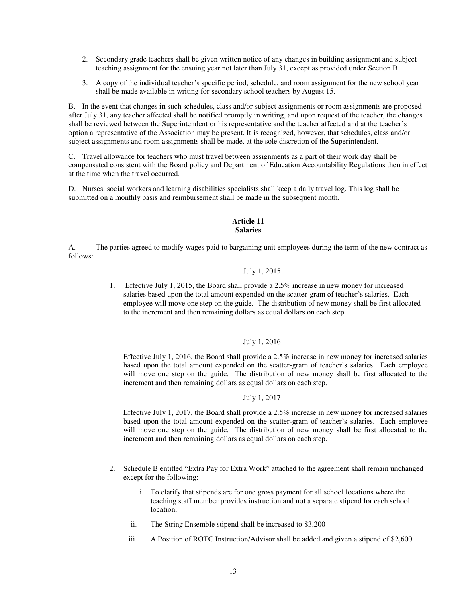- 2. Secondary grade teachers shall be given written notice of any changes in building assignment and subject teaching assignment for the ensuing year not later than July 31, except as provided under Section B.
- 3. A copy of the individual teacher's specific period, schedule, and room assignment for the new school year shall be made available in writing for secondary school teachers by August 15.

B. In the event that changes in such schedules, class and/or subject assignments or room assignments are proposed after July 31, any teacher affected shall be notified promptly in writing, and upon request of the teacher, the changes shall be reviewed between the Superintendent or his representative and the teacher affected and at the teacher's option a representative of the Association may be present. It is recognized, however, that schedules, class and/or subject assignments and room assignments shall be made, at the sole discretion of the Superintendent.

C. Travel allowance for teachers who must travel between assignments as a part of their work day shall be compensated consistent with the Board policy and Department of Education Accountability Regulations then in effect at the time when the travel occurred.

D. Nurses, social workers and learning disabilities specialists shall keep a daily travel log. This log shall be submitted on a monthly basis and reimbursement shall be made in the subsequent month.

#### **Article 11 Salaries**

A. The parties agreed to modify wages paid to bargaining unit employees during the term of the new contract as follows:

## July 1, 2015

1. Effective July 1, 2015, the Board shall provide a 2.5% increase in new money for increased salaries based upon the total amount expended on the scatter-gram of teacher's salaries. Each employee will move one step on the guide. The distribution of new money shall be first allocated to the increment and then remaining dollars as equal dollars on each step.

## July 1, 2016

Effective July 1, 2016, the Board shall provide a 2.5% increase in new money for increased salaries based upon the total amount expended on the scatter-gram of teacher's salaries. Each employee will move one step on the guide. The distribution of new money shall be first allocated to the increment and then remaining dollars as equal dollars on each step.

## July 1, 2017

Effective July 1, 2017, the Board shall provide a 2.5% increase in new money for increased salaries based upon the total amount expended on the scatter-gram of teacher's salaries. Each employee will move one step on the guide. The distribution of new money shall be first allocated to the increment and then remaining dollars as equal dollars on each step.

- 2. Schedule B entitled "Extra Pay for Extra Work" attached to the agreement shall remain unchanged except for the following:
	- i. To clarify that stipends are for one gross payment for all school locations where the teaching staff member provides instruction and not a separate stipend for each school location,
	- ii. The String Ensemble stipend shall be increased to \$3,200
	- iii. A Position of ROTC Instruction/Advisor shall be added and given a stipend of \$2,600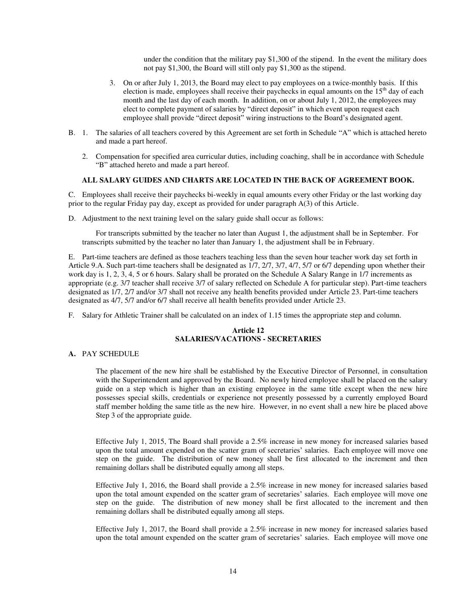under the condition that the military pay \$1,300 of the stipend. In the event the military does not pay \$1,300, the Board will still only pay \$1,300 as the stipend.

- 3. On or after July 1, 2013, the Board may elect to pay employees on a twice-monthly basis. If this election is made, employees shall receive their paychecks in equal amounts on the  $15<sup>th</sup>$  day of each month and the last day of each month. In addition, on or about July 1, 2012, the employees may elect to complete payment of salaries by "direct deposit" in which event upon request each employee shall provide "direct deposit" wiring instructions to the Board's designated agent.
- B. 1. The salaries of all teachers covered by this Agreement are set forth in Schedule "A" which is attached hereto and made a part hereof.
	- 2. Compensation for specified area curricular duties, including coaching, shall be in accordance with Schedule "B" attached hereto and made a part hereof.

## **ALL SALARY GUIDES AND CHARTS ARE LOCATED IN THE BACK OF AGREEMENT BOOK.**

C. Employees shall receive their paychecks bi-weekly in equal amounts every other Friday or the last working day prior to the regular Friday pay day, except as provided for under paragraph A(3) of this Article.

D. Adjustment to the next training level on the salary guide shall occur as follows:

For transcripts submitted by the teacher no later than August 1, the adjustment shall be in September. For transcripts submitted by the teacher no later than January 1, the adjustment shall be in February.

E. Part-time teachers are defined as those teachers teaching less than the seven hour teacher work day set forth in Article 9.A. Such part-time teachers shall be designated as 1/7, 2/7, 3/7, 4/7, 5/7 or 6/7 depending upon whether their work day is 1, 2, 3, 4, 5 or 6 hours. Salary shall be prorated on the Schedule A Salary Range in 1/7 increments as appropriate (e.g. 3/7 teacher shall receive 3/7 of salary reflected on Schedule A for particular step). Part-time teachers designated as 1/7, 2/7 and/or 3/7 shall not receive any health benefits provided under Article 23. Part-time teachers designated as 4/7, 5/7 and/or 6/7 shall receive all health benefits provided under Article 23.

F. Salary for Athletic Trainer shall be calculated on an index of 1.15 times the appropriate step and column.

## **Article 12 SALARIES/VACATIONS - SECRETARIES**

#### **A.** PAY SCHEDULE

The placement of the new hire shall be established by the Executive Director of Personnel, in consultation with the Superintendent and approved by the Board. No newly hired employee shall be placed on the salary guide on a step which is higher than an existing employee in the same title except when the new hire possesses special skills, credentials or experience not presently possessed by a currently employed Board staff member holding the same title as the new hire. However, in no event shall a new hire be placed above Step 3 of the appropriate guide.

Effective July 1, 2015, The Board shall provide a 2.5% increase in new money for increased salaries based upon the total amount expended on the scatter gram of secretaries' salaries. Each employee will move one step on the guide. The distribution of new money shall be first allocated to the increment and then remaining dollars shall be distributed equally among all steps.

Effective July 1, 2016, the Board shall provide a 2.5% increase in new money for increased salaries based upon the total amount expended on the scatter gram of secretaries' salaries. Each employee will move one step on the guide. The distribution of new money shall be first allocated to the increment and then remaining dollars shall be distributed equally among all steps.

Effective July 1, 2017, the Board shall provide a 2.5% increase in new money for increased salaries based upon the total amount expended on the scatter gram of secretaries' salaries. Each employee will move one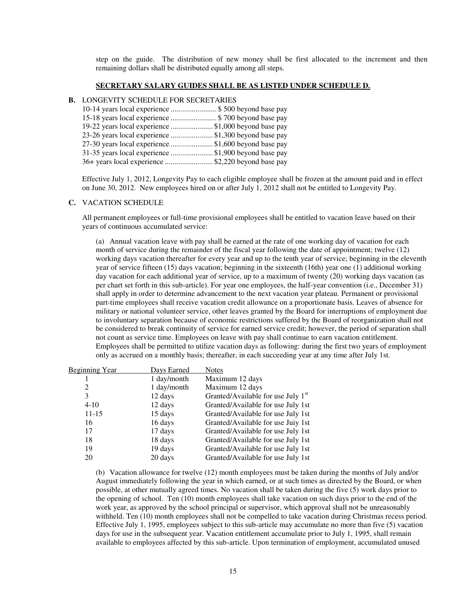step on the guide. The distribution of new money shall be first allocated to the increment and then remaining dollars shall be distributed equally among all steps.

#### **SECRETARY SALARY GUIDES SHALL BE AS LISTED UNDER SCHEDULE D.**

#### **B.** LONGEVITY SCHEDULE FOR SECRETARIES

| 10-14 years local experience \$ 500 beyond base pay  |  |
|------------------------------------------------------|--|
| 15-18 years local experience  \$700 beyond base pay  |  |
| 19-22 years local experience \$1,000 beyond base pay |  |
| 23-26 years local experience \$1,300 beyond base pay |  |
| 27-30 years local experience \$1,600 beyond base pay |  |
| 31-35 years local experience \$1,900 beyond base pay |  |
| 36+ years local experience \$2,220 beyond base pay   |  |

Effective July 1, 2012, Longevity Pay to each eligible employee shall be frozen at the amount paid and in effect on June 30, 2012. New employees hired on or after July 1, 2012 shall not be entitled to Longevity Pay.

#### **C.** VACATION SCHEDULE

All permanent employees or full-time provisional employees shall be entitled to vacation leave based on their years of continuous accumulated service:

(a) Annual vacation leave with pay shall be earned at the rate of one working day of vacation for each month of service during the remainder of the fiscal year following the date of appointment; twelve (12) working days vacation thereafter for every year and up to the tenth year of service; beginning in the eleventh year of service fifteen (15) days vacation; beginning in the sixteenth (16th) year one (1) additional working day vacation for each additional year of service, up to a maximum of twenty (20) working days vacation (as per chart set forth in this sub-article). For year one employees, the half-year convention (i.e., December 31) shall apply in order to determine advancement to the next vacation year plateau. Permanent or provisional part-time employees shall receive vacation credit allowance on a proportionate basis. Leaves of absence for military or national volunteer service, other leaves granted by the Board for interruptions of employment due to involuntary separation because of economic restrictions suffered by the Board of reorganization shall not be considered to break continuity of service for earned service credit; however, the period of separation shall not count as service time. Employees on leave with pay shall continue to earn vacation entitlement. Employees shall be permitted to utilize vacation days as following: during the first two years of employment only as accrued on a monthly basis; thereafter, in each succeeding year at any time after July 1st.

| <b>Beginning Year</b> | Days Earned | <b>Notes</b>                                   |
|-----------------------|-------------|------------------------------------------------|
|                       | 1 day/month | Maximum 12 days                                |
| 2                     | 1 day/month | Maximum 12 days                                |
| 3                     | 12 days     | Granted/Available for use July 1 <sup>st</sup> |
| $4 - 10$              | 12 days     | Granted/Available for use July 1st             |
| 11-15                 | 15 days     | Granted/Available for use July 1st             |
| 16                    | 16 days     | Granted/Available for use Juiy 1st             |
| 17                    | 17 days     | Granted/Available for use July 1st             |
| 18                    | 18 days     | Granted/Available for use July 1st             |
| 19                    | 19 days     | Granted/Available for use July 1st             |
| 20                    | 20 days     | Granted/Available for use July 1st             |

(b) Vacation allowance for twelve (12) month employees must be taken during the months of July and/or August immediately following the year in which earned, or at such times as directed by the Board, or when possible, at other mutually agreed times. No vacation shall be taken during the five (5) work days prior to the opening of school.Ten (10) month employees shall take vacation on such days prior to the end of the work year, as approved by the school principal or supervisor, which approval shall not be unreasonably withheld. Ten (10) month employees shall not be compelled to take vacation during Christmas recess period. Effective July 1, 1995, employees subject to this sub-article may accumulate no more than five (5) vacation days for use in the subsequent year. Vacation entitlement accumulate prior to July 1, 1995, shall remain available to employees affected by this sub-article. Upon termination of employment, accumulated unused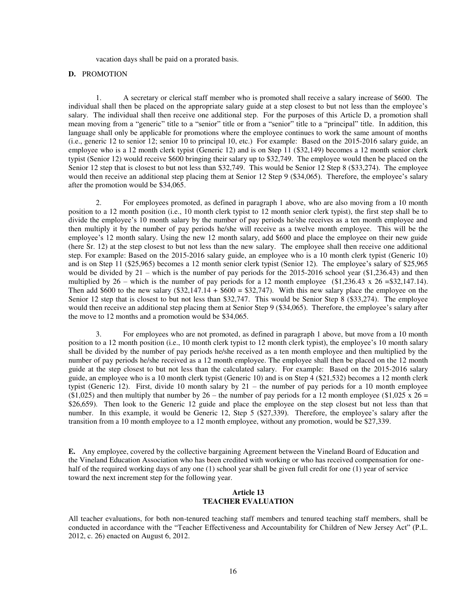vacation days shall be paid on a prorated basis.

#### **D.** PROMOTION

1. A secretary or clerical staff member who is promoted shall receive a salary increase of \$600. The individual shall then be placed on the appropriate salary guide at a step closest to but not less than the employee's salary. The individual shall then receive one additional step. For the purposes of this Article D, a promotion shall mean moving from a "generic" title to a "senior" title or from a "senior" title to a "principal" title. In addition, this language shall only be applicable for promotions where the employee continues to work the same amount of months (i.e., generic 12 to senior 12; senior 10 to principal 10, etc.) For example: Based on the 2015-2016 salary guide, an employee who is a 12 month clerk typist (Generic 12) and is on Step 11 (\$32,149) becomes a 12 month senior clerk typist (Senior 12) would receive \$600 bringing their salary up to \$32,749. The employee would then be placed on the Senior 12 step that is closest to but not less than \$32,749. This would be Senior 12 Step 8 (\$33,274). The employee would then receive an additional step placing them at Senior 12 Step 9 (\$34,065). Therefore, the employee's salary after the promotion would be \$34,065.

2. For employees promoted, as defined in paragraph 1 above, who are also moving from a 10 month position to a 12 month position (i.e., 10 month clerk typist to 12 month senior clerk typist), the first step shall be to divide the employee's 10 month salary by the number of pay periods he/she receives as a ten month employee and then multiply it by the number of pay periods he/she will receive as a twelve month employee. This will be the employee's 12 month salary. Using the new 12 month salary, add \$600 and place the employee on their new guide (here Sr. 12) at the step closest to but not less than the new salary. The employee shall then receive one additional step. For example: Based on the 2015-2016 salary guide, an employee who is a 10 month clerk typist (Generic 10) and is on Step 11 (\$25,965) becomes a 12 month senior clerk typist (Senior 12). The employee's salary of \$25,965 would be divided by 21 – which is the number of pay periods for the 2015-2016 school year (\$1,236.43) and then multiplied by 26 – which is the number of pay periods for a 12 month employee  $(\$1,236.43 \times 26 = \$32,147.14)$ . Then add \$600 to the new salary  $(\$32,147.14 + \$600 = \$32,747)$ . With this new salary place the employee on the Senior 12 step that is closest to but not less than \$32,747. This would be Senior Step 8 (\$33,274). The employee would then receive an additional step placing them at Senior Step 9 (\$34,065). Therefore, the employee's salary after the move to 12 months and a promotion would be \$34,065.

3. For employees who are not promoted, as defined in paragraph 1 above, but move from a 10 month position to a 12 month position (i.e., 10 month clerk typist to 12 month clerk typist), the employee's 10 month salary shall be divided by the number of pay periods he/she received as a ten month employee and then multiplied by the number of pay periods he/she received as a 12 month employee. The employee shall then be placed on the 12 month guide at the step closest to but not less than the calculated salary. For example: Based on the 2015-2016 salary guide, an employee who is a 10 month clerk typist (Generic 10) and is on Step 4 (\$21,532) becomes a 12 month clerk typist (Generic 12). First, divide 10 month salary by 21 – the number of pay periods for a 10 month employee (\$1,025) and then multiply that number by 26 – the number of pay periods for a 12 month employee (\$1,025 x 26 = \$26,659). Then look to the Generic 12 guide and place the employee on the step closest but not less than that number. In this example, it would be Generic 12, Step 5 (\$27,339). Therefore, the employee's salary after the transition from a 10 month employee to a 12 month employee, without any promotion, would be \$27,339.

**E.** Any employee, covered by the collective bargaining Agreement between the Vineland Board of Education and the Vineland Education Association who has been credited with working or who has received compensation for onehalf of the required working days of any one (1) school year shall be given full credit for one (1) year of service toward the next increment step for the following year.

#### **Article 13 TEACHER EVALUATION**

All teacher evaluations, for both non-tenured teaching staff members and tenured teaching staff members, shall be conducted in accordance with the "Teacher Effectiveness and Accountability for Children of New Jersey Act" (P.L. 2012, c. 26) enacted on August 6, 2012.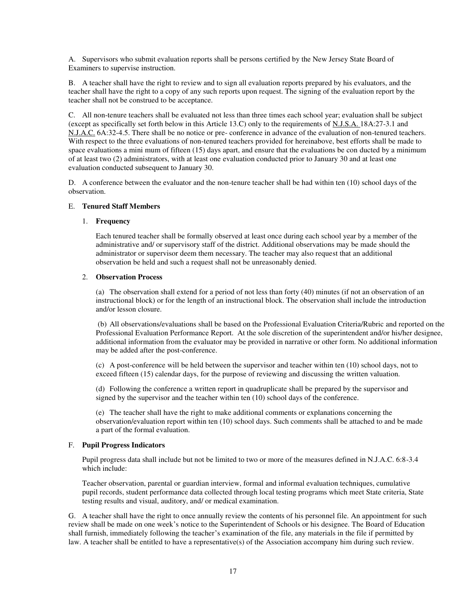A. Supervisors who submit evaluation reports shall be persons certified by the New Jersey State Board of Examiners to supervise instruction.

B. A teacher shall have the right to review and to sign all evaluation reports prepared by his evaluators, and the teacher shall have the right to a copy of any such reports upon request. The signing of the evaluation report by the teacher shall not be construed to be acceptance.

C. All non-tenure teachers shall be evaluated not less than three times each school year; evaluation shall be subject (except as specifically set forth below in this Article 13.C) only to the requirements of N.J.S.A. 18A:27-3.1 and N.J.A.C. 6A:32-4.5. There shall be no notice or pre- conference in advance of the evaluation of non-tenured teachers. With respect to the three evaluations of non-tenured teachers provided for hereinabove, best efforts shall be made to space evaluations a mini mum of fifteen (15) days apart, and ensure that the evaluations be con ducted by a minimum of at least two (2) administrators, with at least one evaluation conducted prior to January 30 and at least one evaluation conducted subsequent to January 30.

D. A conference between the evaluator and the non-tenure teacher shall be had within ten (10) school days of the observation.

#### E. **Tenured Staff Members**

#### 1. **Frequency**

Each tenured teacher shall be formally observed at least once during each school year by a member of the administrative and/ or supervisory staff of the district. Additional observations may be made should the administrator or supervisor deem them necessary. The teacher may also request that an additional observation be held and such a request shall not be unreasonably denied.

### 2. **Observation Process**

(a) The observation shall extend for a period of not less than forty (40) minutes (if not an observation of an instructional block) or for the length of an instructional block. The observation shall include the introduction and/or lesson closure.

(b) All observations/evaluations shall be based on the Professional Evaluation Criteria/Rubric and reported on the Professional Evaluation Performance Report. At the sole discretion of the superintendent and/or his/her designee, additional information from the evaluator may be provided in narrative or other form. No additional information may be added after the post-conference.

(c) A post-conference will be held between the supervisor and teacher within ten (10) school days, not to exceed fifteen (15) calendar days, for the purpose of reviewing and discussing the written valuation.

(d) Following the conference a written report in quadruplicate shall be prepared by the supervisor and signed by the supervisor and the teacher within ten (10) school days of the conference.

(e) The teacher shall have the right to make additional comments or explanations concerning the observation/evaluation report within ten (10) school days. Such comments shall be attached to and be made a part of the formal evaluation.

## F. **Pupil Progress Indicators**

Pupil progress data shall include but not be limited to two or more of the measures defined in N.J.A.C. 6:8-3.4 which include:

Teacher observation, parental or guardian interview, formal and informal evaluation techniques, cumulative pupil records, student performance data collected through local testing programs which meet State criteria, State testing results and visual, auditory, and/ or medical examination.

G. A teacher shall have the right to once annually review the contents of his personnel file. An appointment for such review shall be made on one week's notice to the Superintendent of Schools or his designee. The Board of Education shall furnish, immediately following the teacher's examination of the file, any materials in the file if permitted by law. A teacher shall be entitled to have a representative(s) of the Association accompany him during such review.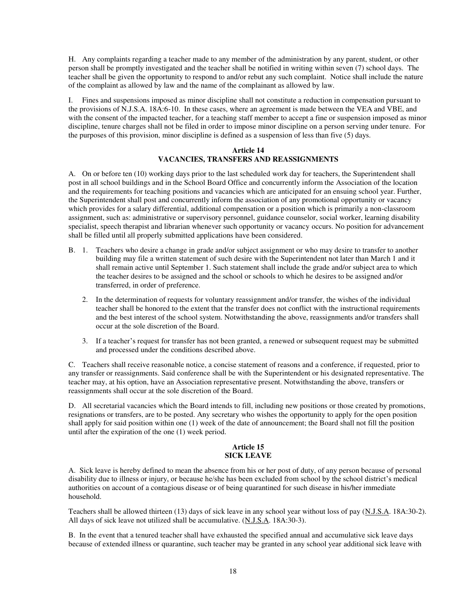H. Any complaints regarding a teacher made to any member of the administration by any parent, student, or other person shall be promptly investigated and the teacher shall be notified in writing within seven (7) school days. The teacher shall be given the opportunity to respond to and/or rebut any such complaint. Notice shall include the nature of the complaint as allowed by law and the name of the complainant as allowed by law.

I. Fines and suspensions imposed as minor discipline shall not constitute a reduction in compensation pursuant to the provisions of N.J.S.A. 18A:6-10. In these cases, where an agreement is made between the VEA and VBE, and with the consent of the impacted teacher, for a teaching staff member to accept a fine or suspension imposed as minor discipline, tenure charges shall not be filed in order to impose minor discipline on a person serving under tenure. For the purposes of this provision, minor discipline is defined as a suspension of less than five (5) days.

## **Article 14 VACANCIES, TRANSFERS AND REASSIGNMENTS**

A. On or before ten (10) working days prior to the last scheduled work day for teachers, the Superintendent shall post in all school buildings and in the School Board Office and concurrently inform the Association of the location and the requirements for teaching positions and vacancies which are anticipated for an ensuing school year. Further, the Superintendent shall post and concurrently inform the association of any promotional opportunity or vacancy which provides for a salary differential, additional compensation or a position which is primarily a non-classroom assignment, such as: administrative or supervisory personnel, guidance counselor, social worker, learning disability specialist, speech therapist and librarian whenever such opportunity or vacancy occurs. No position for advancement shall be filled until all properly submitted applications have been considered.

- B. 1. Teachers who desire a change in grade and/or subject assignment or who may desire to transfer to another building may file a written statement of such desire with the Superintendent not later than March 1 and it shall remain active until September 1. Such statement shall include the grade and/or subject area to which the teacher desires to be assigned and the school or schools to which he desires to be assigned and/or transferred, in order of preference.
	- 2. In the determination of requests for voluntary reassignment and/or transfer, the wishes of the individual teacher shall be honored to the extent that the transfer does not conflict with the instructional requirements and the best interest of the school system. Notwithstanding the above, reassignments and/or transfers shall occur at the sole discretion of the Board.
	- 3. If a teacher's request for transfer has not been granted, a renewed or subsequent request may be submitted and processed under the conditions described above.

C. Teachers shall receive reasonable notice, a concise statement of reasons and a conference, if requested, prior to any transfer or reassignments. Said conference shall be with the Superintendent or his designated representative. The teacher may, at his option, have an Association representative present. Notwithstanding the above, transfers or reassignments shall occur at the sole discretion of the Board.

D. All secretarial vacancies which the Board intends to fill, including new positions or those created by promotions, resignations or transfers, are to be posted. Any secretary who wishes the opportunity to apply for the open position shall apply for said position within one (1) week of the date of announcement; the Board shall not fill the position until after the expiration of the one (1) week period.

### **Article 15 SICK LEAVE**

A. Sick leave is hereby defined to mean the absence from his or her post of duty, of any person because of personal disability due to illness or injury, or because he/she has been excluded from school by the school district's medical authorities on account of a contagious disease or of being quarantined for such disease in his/her immediate household.

Teachers shall be allowed thirteen (13) days of sick leave in any school year without loss of pay (N.J.S.A. 18A:30-2). All days of sick leave not utilized shall be accumulative. (N.J.S.A. 18A:30-3).

B. In the event that a tenured teacher shall have exhausted the specified annual and accumulative sick leave days because of extended illness or quarantine, such teacher may be granted in any school year additional sick leave with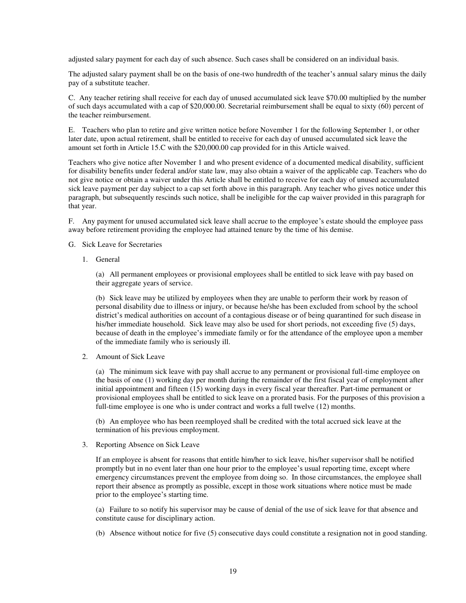adjusted salary payment for each day of such absence. Such cases shall be considered on an individual basis.

The adjusted salary payment shall be on the basis of one-two hundredth of the teacher's annual salary minus the daily pay of a substitute teacher.

C. Any teacher retiring shall receive for each day of unused accumulated sick leave \$70.00 multiplied by the number of such days accumulated with a cap of \$20,000.00. Secretarial reimbursement shall be equal to sixty (60) percent of the teacher reimbursement.

E. Teachers who plan to retire and give written notice before November 1 for the following September 1, or other later date, upon actual retirement, shall be entitled to receive for each day of unused accumulated sick leave the amount set forth in Article 15.C with the \$20,000.00 cap provided for in this Article waived.

Teachers who give notice after November 1 and who present evidence of a documented medical disability, sufficient for disability benefits under federal and/or state law, may also obtain a waiver of the applicable cap. Teachers who do not give notice or obtain a waiver under this Article shall be entitled to receive for each day of unused accumulated sick leave payment per day subject to a cap set forth above in this paragraph. Any teacher who gives notice under this paragraph, but subsequently rescinds such notice, shall be ineligible for the cap waiver provided in this paragraph for that year.

F. Any payment for unused accumulated sick leave shall accrue to the employee's estate should the employee pass away before retirement providing the employee had attained tenure by the time of his demise.

- G. Sick Leave for Secretaries
	- 1. General

(a) All permanent employees or provisional employees shall be entitled to sick leave with pay based on their aggregate years of service.

(b) Sick leave may be utilized by employees when they are unable to perform their work by reason of personal disability due to illness or injury, or because he/she has been excluded from school by the school district's medical authorities on account of a contagious disease or of being quarantined for such disease in his/her immediate household. Sick leave may also be used for short periods, not exceeding five (5) days, because of death in the employee's immediate family or for the attendance of the employee upon a member of the immediate family who is seriously ill.

2. Amount of Sick Leave

(a) The minimum sick leave with pay shall accrue to any permanent or provisional full-time employee on the basis of one (1) working day per month during the remainder of the first fiscal year of employment after initial appointment and fifteen (15) working days in every fiscal year thereafter. Part-time permanent or provisional employees shall be entitled to sick leave on a prorated basis. For the purposes of this provision a full-time employee is one who is under contract and works a full twelve (12) months.

(b) An employee who has been reemployed shall be credited with the total accrued sick leave at the termination of his previous employment.

3. Reporting Absence on Sick Leave

If an employee is absent for reasons that entitle him/her to sick leave, his/her supervisor shall be notified promptly but in no event later than one hour prior to the employee's usual reporting time, except where emergency circumstances prevent the employee from doing so. In those circumstances, the employee shall report their absence as promptly as possible, except in those work situations where notice must be made prior to the employee's starting time.

(a) Failure to so notify his supervisor may be cause of denial of the use of sick leave for that absence and constitute cause for disciplinary action.

(b) Absence without notice for five (5) consecutive days could constitute a resignation not in good standing.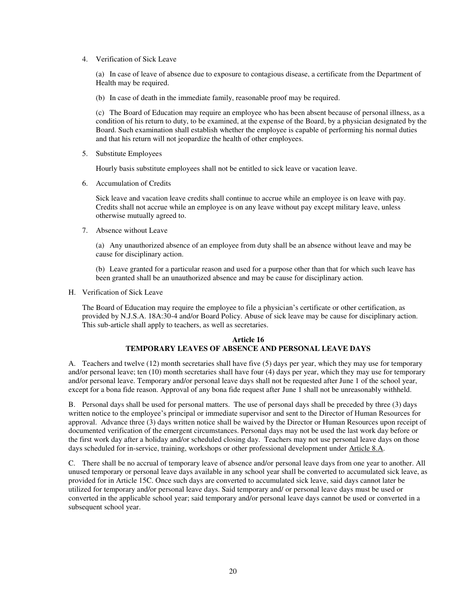4. Verification of Sick Leave

(a) In case of leave of absence due to exposure to contagious disease, a certificate from the Department of Health may be required.

(b) In case of death in the immediate family, reasonable proof may be required.

(c) The Board of Education may require an employee who has been absent because of personal illness, as a condition of his return to duty, to be examined, at the expense of the Board, by a physician designated by the Board. Such examination shall establish whether the employee is capable of performing his normal duties and that his return will not jeopardize the health of other employees.

5. Substitute Employees

Hourly basis substitute employees shall not be entitled to sick leave or vacation leave.

6. Accumulation of Credits

Sick leave and vacation leave credits shall continue to accrue while an employee is on leave with pay. Credits shall not accrue while an employee is on any leave without pay except military leave, unless otherwise mutually agreed to.

7. Absence without Leave

(a) Any unauthorized absence of an employee from duty shall be an absence without leave and may be cause for disciplinary action.

(b) Leave granted for a particular reason and used for a purpose other than that for which such leave has been granted shall be an unauthorized absence and may be cause for disciplinary action.

H. Verification of Sick Leave

The Board of Education may require the employee to file a physician's certificate or other certification, as provided by N.J.S.A. 18A:30-4 and/or Board Policy. Abuse of sick leave may be cause for disciplinary action. This sub-article shall apply to teachers, as well as secretaries.

## **Article 16 TEMPORARY LEAVES OF ABSENCE AND PERSONAL LEAVE DAYS**

A. Teachers and twelve (12) month secretaries shall have five (5) days per year, which they may use for temporary and/or personal leave; ten (10) month secretaries shall have four (4) days per year, which they may use for temporary and/or personal leave. Temporary and/or personal leave days shall not be requested after June 1 of the school year, except for a bona fide reason. Approval of any bona fide request after June 1 shall not be unreasonably withheld.

B. Personal days shall be used for personal matters. The use of personal days shall be preceded by three (3) days written notice to the employee's principal or immediate supervisor and sent to the Director of Human Resources for approval. Advance three (3) days written notice shall be waived by the Director or Human Resources upon receipt of documented verification of the emergent circumstances. Personal days may not be used the last work day before or the first work day after a holiday and/or scheduled closing day. Teachers may not use personal leave days on those days scheduled for in-service, training, workshops or other professional development under Article 8.A.

C. There shall be no accrual of temporary leave of absence and/or personal leave days from one year to another. All unused temporary or personal leave days available in any school year shall be converted to accumulated sick leave, as provided for in Article 15C. Once such days are converted to accumulated sick leave, said days cannot later be utilized for temporary and/or personal leave days. Said temporary and/ or personal leave days must be used or converted in the applicable school year; said temporary and/or personal leave days cannot be used or converted in a subsequent school year.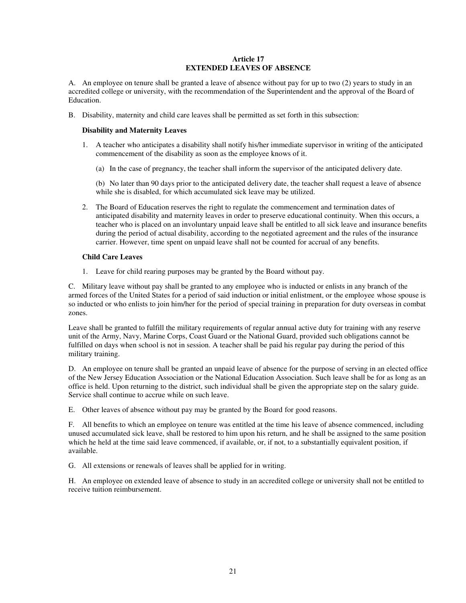## **Article 17 EXTENDED LEAVES OF ABSENCE**

A. An employee on tenure shall be granted a leave of absence without pay for up to two (2) years to study in an accredited college or university, with the recommendation of the Superintendent and the approval of the Board of Education.

B. Disability, maternity and child care leaves shall be permitted as set forth in this subsection:

### **Disability and Maternity Leaves**

- 1. A teacher who anticipates a disability shall notify his/her immediate supervisor in writing of the anticipated commencement of the disability as soon as the employee knows of it.
	- (a) In the case of pregnancy, the teacher shall inform the supervisor of the anticipated delivery date.

(b) No later than 90 days prior to the anticipated delivery date, the teacher shall request a leave of absence while she is disabled, for which accumulated sick leave may be utilized.

2. The Board of Education reserves the right to regulate the commencement and termination dates of anticipated disability and maternity leaves in order to preserve educational continuity. When this occurs, a teacher who is placed on an involuntary unpaid leave shall be entitled to all sick leave and insurance benefits during the period of actual disability, according to the negotiated agreement and the rules of the insurance carrier. However, time spent on unpaid leave shall not be counted for accrual of any benefits.

### **Child Care Leaves**

1. Leave for child rearing purposes may be granted by the Board without pay.

C. Military leave without pay shall be granted to any employee who is inducted or enlists in any branch of the armed forces of the United States for a period of said induction or initial enlistment, or the employee whose spouse is so inducted or who enlists to join him/her for the period of special training in preparation for duty overseas in combat zones.

Leave shall be granted to fulfill the military requirements of regular annual active duty for training with any reserve unit of the Army, Navy, Marine Corps, Coast Guard or the National Guard, provided such obligations cannot be fulfilled on days when school is not in session. A teacher shall be paid his regular pay during the period of this military training.

D. An employee on tenure shall be granted an unpaid leave of absence for the purpose of serving in an elected office of the New Jersey Education Association or the National Education Association. Such leave shall be for as long as an office is held. Upon returning to the district, such individual shall be given the appropriate step on the salary guide. Service shall continue to accrue while on such leave.

E. Other leaves of absence without pay may be granted by the Board for good reasons.

F. All benefits to which an employee on tenure was entitled at the time his leave of absence commenced, including unused accumulated sick leave, shall be restored to him upon his return, and he shall be assigned to the same position which he held at the time said leave commenced, if available, or, if not, to a substantially equivalent position, if available.

G. All extensions or renewals of leaves shall be applied for in writing.

H. An employee on extended leave of absence to study in an accredited college or university shall not be entitled to receive tuition reimbursement.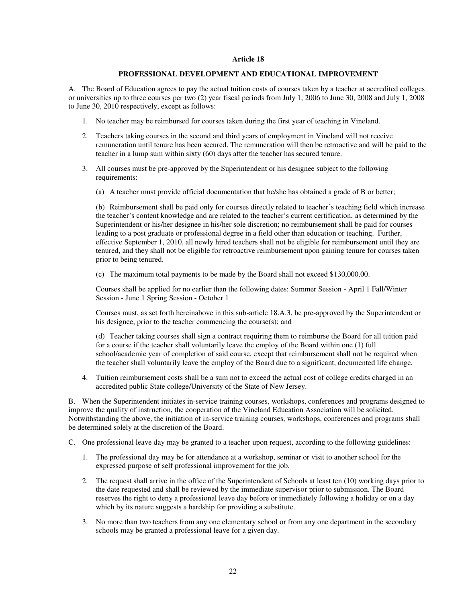#### **Article 18**

#### **PROFESSIONAL DEVELOPMENT AND EDUCATIONAL IMPROVEMENT**

A. The Board of Education agrees to pay the actual tuition costs of courses taken by a teacher at accredited colleges or universities up to three courses per two (2) year fiscal periods from July 1, 2006 to June 30, 2008 and July 1, 2008 to June 30, 2010 respectively, except as follows:

- 1. No teacher may be reimbursed for courses taken during the first year of teaching in Vineland.
- 2. Teachers taking courses in the second and third years of employment in Vineland will not receive remuneration until tenure has been secured. The remuneration will then be retroactive and will be paid to the teacher in a lump sum within sixty (60) days after the teacher has secured tenure.
- 3. All courses must be pre-approved by the Superintendent or his designee subject to the following requirements:
	- (a) A teacher must provide official documentation that he/she has obtained a grade of B or better;

(b) Reimbursement shall be paid only for courses directly related to teacher's teaching field which increase the teacher's content knowledge and are related to the teacher's current certification, as determined by the Superintendent or his/her designee in his/her sole discretion; no reimbursement shall be paid for courses leading to a post graduate or professional degree in a field other than education or teaching. Further, effective September 1, 2010, all newly hired teachers shall not be eligible for reimbursement until they are tenured, and they shall not be eligible for retroactive reimbursement upon gaining tenure for courses taken prior to being tenured.

(c) The maximum total payments to be made by the Board shall not exceed \$130,000.00.

Courses shall be applied for no earlier than the following dates: Summer Session - April 1 Fall/Winter Session - June 1 Spring Session - October 1

Courses must, as set forth hereinabove in this sub-article 18.A.3, be pre-approved by the Superintendent or his designee, prior to the teacher commencing the course(s); and

(d) Teacher taking courses shall sign a contract requiring them to reimburse the Board for all tuition paid for a course if the teacher shall voluntarily leave the employ of the Board within one (1) full school/academic year of completion of said course, except that reimbursement shall not be required when the teacher shall voluntarily leave the employ of the Board due to a significant, documented life change.

4. Tuition reimbursement costs shall be a sum not to exceed the actual cost of college credits charged in an accredited public State college/University of the State of New Jersey.

B. When the Superintendent initiates in-service training courses, workshops, conferences and programs designed to improve the quality of instruction, the cooperation of the Vineland Education Association will be solicited. Notwithstanding the above, the initiation of in-service training courses, workshops, conferences and programs shall be determined solely at the discretion of the Board.

C. One professional leave day may be granted to a teacher upon request, according to the following guidelines:

- 1. The professional day may be for attendance at a workshop, seminar or visit to another school for the expressed purpose of self professional improvement for the job.
- 2. The request shall arrive in the office of the Superintendent of Schools at least ten (10) working days prior to the date requested and shall be reviewed by the immediate supervisor prior to submission. The Board reserves the right to deny a professional leave day before or immediately following a holiday or on a day which by its nature suggests a hardship for providing a substitute.
- 3. No more than two teachers from any one elementary school or from any one department in the secondary schools may be granted a professional leave for a given day.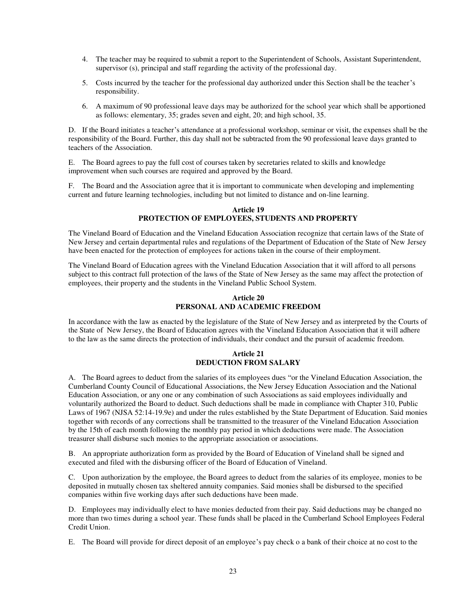- 4. The teacher may be required to submit a report to the Superintendent of Schools, Assistant Superintendent, supervisor (s), principal and staff regarding the activity of the professional day.
- 5. Costs incurred by the teacher for the professional day authorized under this Section shall be the teacher's responsibility.
- 6. A maximum of 90 professional leave days may be authorized for the school year which shall be apportioned as follows: elementary, 35; grades seven and eight, 20; and high school, 35.

D. If the Board initiates a teacher's attendance at a professional workshop, seminar or visit, the expenses shall be the responsibility of the Board. Further, this day shall not be subtracted from the 90 professional leave days granted to teachers of the Association.

E. The Board agrees to pay the full cost of courses taken by secretaries related to skills and knowledge improvement when such courses are required and approved by the Board.

F. The Board and the Association agree that it is important to communicate when developing and implementing current and future learning technologies, including but not limited to distance and on-line learning.

#### **Article 19 PROTECTION OF EMPLOYEES, STUDENTS AND PROPERTY**

The Vineland Board of Education and the Vineland Education Association recognize that certain laws of the State of New Jersey and certain departmental rules and regulations of the Department of Education of the State of New Jersey have been enacted for the protection of employees for actions taken in the course of their employment.

The Vineland Board of Education agrees with the Vineland Education Association that it will afford to all persons subject to this contract full protection of the laws of the State of New Jersey as the same may affect the protection of employees, their property and the students in the Vineland Public School System.

#### **Article 20 PERSONAL AND ACADEMIC FREEDOM**

In accordance with the law as enacted by the legislature of the State of New Jersey and as interpreted by the Courts of the State of New Jersey, the Board of Education agrees with the Vineland Education Association that it will adhere to the law as the same directs the protection of individuals, their conduct and the pursuit of academic freedom.

# **Article 21 DEDUCTION FROM SALARY**

A. The Board agrees to deduct from the salaries of its employees dues "or the Vineland Education Association, the Cumberland County Council of Educational Associations, the New Jersey Education Association and the National Education Association, or any one or any combination of such Associations as said employees individually and voluntarily authorized the Board to deduct. Such deductions shall be made in compliance with Chapter 310, Public Laws of 1967 (NJSA 52:14-19.9e) and under the rules established by the State Department of Education. Said monies together with records of any corrections shall be transmitted to the treasurer of the Vineland Education Association by the 15th of each month following the monthly pay period in which deductions were made. The Association treasurer shall disburse such monies to the appropriate association or associations.

B. An appropriate authorization form as provided by the Board of Education of Vineland shall be signed and executed and filed with the disbursing officer of the Board of Education of Vineland.

C. Upon authorization by the employee, the Board agrees to deduct from the salaries of its employee, monies to be deposited in mutually chosen tax sheltered annuity companies. Said monies shall be disbursed to the specified companies within five working days after such deductions have been made.

D. Employees may individually elect to have monies deducted from their pay. Said deductions may be changed no more than two times during a school year. These funds shall be placed in the Cumberland School Employees Federal Credit Union.

E. The Board will provide for direct deposit of an employee's pay check o a bank of their choice at no cost to the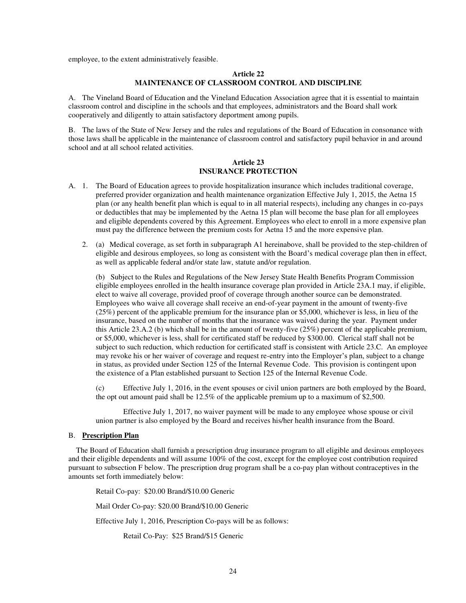employee, to the extent administratively feasible.

## **Article 22 MAINTENANCE OF CLASSROOM CONTROL AND DISCIPLINE**

A. The Vineland Board of Education and the Vineland Education Association agree that it is essential to maintain classroom control and discipline in the schools and that employees, administrators and the Board shall work cooperatively and diligently to attain satisfactory deportment among pupils.

B. The laws of the State of New Jersey and the rules and regulations of the Board of Education in consonance with those laws shall be applicable in the maintenance of classroom control and satisfactory pupil behavior in and around school and at all school related activities.

### **Article 23 INSURANCE PROTECTION**

- A. 1. The Board of Education agrees to provide hospitalization insurance which includes traditional coverage, preferred provider organization and health maintenance organization Effective July 1, 2015, the Aetna 15 plan (or any health benefit plan which is equal to in all material respects), including any changes in co-pays or deductibles that may be implemented by the Aetna 15 plan will become the base plan for all employees and eligible dependents covered by this Agreement. Employees who elect to enroll in a more expensive plan must pay the difference between the premium costs for Aetna 15 and the more expensive plan.
	- 2. (a) Medical coverage, as set forth in subparagraph A1 hereinabove, shall be provided to the step-children of eligible and desirous employees, so long as consistent with the Board's medical coverage plan then in effect, as well as applicable federal and/or state law, statute and/or regulation.

(b) Subject to the Rules and Regulations of the New Jersey State Health Benefits Program Commission eligible employees enrolled in the health insurance coverage plan provided in Article 23A.1 may, if eligible, elect to waive all coverage, provided proof of coverage through another source can be demonstrated. Employees who waive all coverage shall receive an end-of-year payment in the amount of twenty-five (25%) percent of the applicable premium for the insurance plan or \$5,000, whichever is less, in lieu of the insurance, based on the number of months that the insurance was waived during the year. Payment under this Article 23.A.2 (b) which shall be in the amount of twenty-five (25%) percent of the applicable premium, or \$5,000, whichever is less, shall for certificated staff be reduced by \$300.00. Clerical staff shall not be subject to such reduction, which reduction for certificated staff is consistent with Article 23.C. An employee may revoke his or her waiver of coverage and request re-entry into the Employer's plan, subject to a change in status, as provided under Section 125 of the Internal Revenue Code. This provision is contingent upon the existence of a Plan established pursuant to Section 125 of the Internal Revenue Code.

(c) Effective July 1, 2016, in the event spouses or civil union partners are both employed by the Board, the opt out amount paid shall be 12.5% of the applicable premium up to a maximum of \$2,500.

Effective July 1, 2017, no waiver payment will be made to any employee whose spouse or civil union partner is also employed by the Board and receives his/her health insurance from the Board.

## B. **Prescription Plan**

 The Board of Education shall furnish a prescription drug insurance program to all eligible and desirous employees and their eligible dependents and will assume 100% of the cost, except for the employee cost contribution required pursuant to subsection F below. The prescription drug program shall be a co-pay plan without contraceptives in the amounts set forth immediately below:

Retail Co-pay: \$20.00 Brand/\$10.00 Generic

Mail Order Co-pay: \$20.00 Brand/\$10.00 Generic

Effective July 1, 2016, Prescription Co-pays will be as follows:

Retail Co-Pay: \$25 Brand/\$15 Generic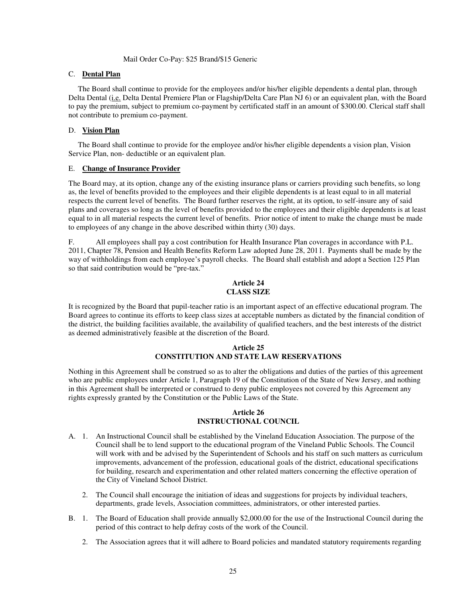### Mail Order Co-Pay: \$25 Brand/\$15 Generic

### C. **Dental Plan**

 The Board shall continue to provide for the employees and/or his/her eligible dependents a dental plan, through Delta Dental (i.e. Delta Dental Premiere Plan or Flagship/Delta Care Plan NJ 6) or an equivalent plan, with the Board to pay the premium, subject to premium co-payment by certificated staff in an amount of \$300.00. Clerical staff shall not contribute to premium co-payment.

## D. **Vision Plan**

 The Board shall continue to provide for the employee and/or his/her eligible dependents a vision plan, Vision Service Plan, non- deductible or an equivalent plan.

## E. **Change of Insurance Provider**

The Board may, at its option, change any of the existing insurance plans or carriers providing such benefits, so long as, the level of benefits provided to the employees and their eligible dependents is at least equal to in all material respects the current level of benefits. The Board further reserves the right, at its option, to self-insure any of said plans and coverages so long as the level of benefits provided to the employees and their eligible dependents is at least equal to in all material respects the current level of benefits. Prior notice of intent to make the change must be made to employees of any change in the above described within thirty (30) days.

F. All employees shall pay a cost contribution for Health Insurance Plan coverages in accordance with P.L. 2011, Chapter 78, Pension and Health Benefits Reform Law adopted June 28, 2011. Payments shall be made by the way of withholdings from each employee's payroll checks. The Board shall establish and adopt a Section 125 Plan so that said contribution would be "pre-tax."

### **Article 24 CLASS SIZE**

It is recognized by the Board that pupil-teacher ratio is an important aspect of an effective educational program. The Board agrees to continue its efforts to keep class sizes at acceptable numbers as dictated by the financial condition of the district, the building facilities available, the availability of qualified teachers, and the best interests of the district as deemed administratively feasible at the discretion of the Board.

### **Article 25 CONSTITUTION AND STATE LAW RESERVATIONS**

Nothing in this Agreement shall be construed so as to alter the obligations and duties of the parties of this agreement who are public employees under Article 1, Paragraph 19 of the Constitution of the State of New Jersey, and nothing in this Agreement shall be interpreted or construed to deny public employees not covered by this Agreement any rights expressly granted by the Constitution or the Public Laws of the State.

### **Article 26 INSTRUCTIONAL COUNCIL**

- A. 1. An Instructional Council shall be established by the Vineland Education Association. The purpose of the Council shall be to lend support to the educational program of the Vineland Public Schools. The Council will work with and be advised by the Superintendent of Schools and his staff on such matters as curriculum improvements, advancement of the profession, educational goals of the district, educational specifications for building, research and experimentation and other related matters concerning the effective operation of the City of Vineland School District.
	- 2. The Council shall encourage the initiation of ideas and suggestions for projects by individual teachers, departments, grade levels, Association committees, administrators, or other interested parties.
- B. 1. The Board of Education shall provide annually \$2,000.00 for the use of the Instructional Council during the period of this contract to help defray costs of the work of the Council.
	- 2. The Association agrees that it will adhere to Board policies and mandated statutory requirements regarding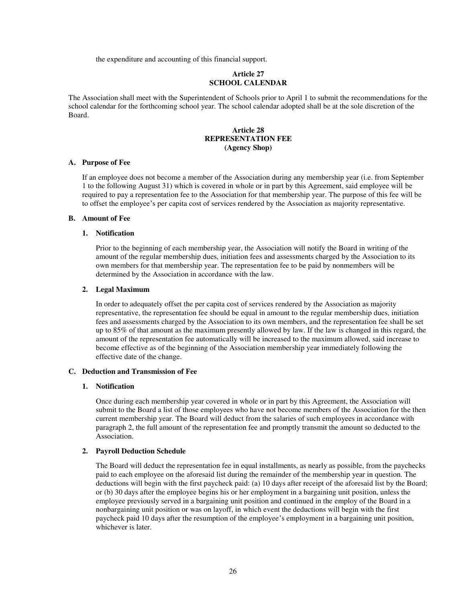the expenditure and accounting of this financial support.

### **Article 27 SCHOOL CALENDAR**

The Association shall meet with the Superintendent of Schools prior to April 1 to submit the recommendations for the school calendar for the forthcoming school year. The school calendar adopted shall be at the sole discretion of the Board.

### **Article 28 REPRESENTATION FEE (Agency Shop)**

#### **A. Purpose of Fee**

If an employee does not become a member of the Association during any membership year (i.e. from September 1 to the following August 31) which is covered in whole or in part by this Agreement, said employee will be required to pay a representation fee to the Association for that membership year. The purpose of this fee will be to offset the employee's per capita cost of services rendered by the Association as majority representative.

#### **B. Amount of Fee**

#### **1. Notification**

Prior to the beginning of each membership year, the Association will notify the Board in writing of the amount of the regular membership dues, initiation fees and assessments charged by the Association to its own members for that membership year. The representation fee to be paid by nonmembers will be determined by the Association in accordance with the law.

#### **2. Legal Maximum**

In order to adequately offset the per capita cost of services rendered by the Association as majority representative, the representation fee should be equal in amount to the regular membership dues, initiation fees and assessments charged by the Association to its own members, and the representation fee shall be set up to 85% of that amount as the maximum presently allowed by law. If the law is changed in this regard, the amount of the representation fee automatically will be increased to the maximum allowed, said increase to become effective as of the beginning of the Association membership year immediately following the effective date of the change.

#### **C. Deduction and Transmission of Fee**

#### **1. Notification**

Once during each membership year covered in whole or in part by this Agreement, the Association will submit to the Board a list of those employees who have not become members of the Association for the then current membership year. The Board will deduct from the salaries of such employees in accordance with paragraph 2, the full amount of the representation fee and promptly transmit the amount so deducted to the Association.

#### **2. Payroll Deduction Schedule**

The Board will deduct the representation fee in equal installments, as nearly as possible, from the paychecks paid to each employee on the aforesaid list during the remainder of the membership year in question. The deductions will begin with the first paycheck paid: (a) 10 days after receipt of the aforesaid list by the Board; or (b) 30 days after the employee begins his or her employment in a bargaining unit position, unless the employee previously served in a bargaining unit position and continued in the employ of the Board in a nonbargaining unit position or was on layoff, in which event the deductions will begin with the first paycheck paid 10 days after the resumption of the employee's employment in a bargaining unit position, whichever is later.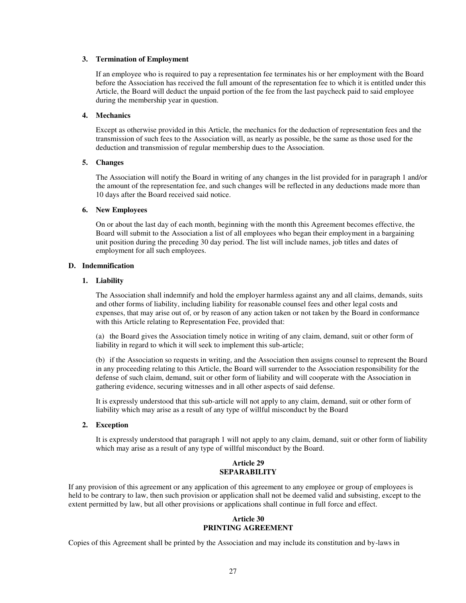#### **3. Termination of Employment**

If an employee who is required to pay a representation fee terminates his or her employment with the Board before the Association has received the full amount of the representation fee to which it is entitled under this Article, the Board will deduct the unpaid portion of the fee from the last paycheck paid to said employee during the membership year in question.

#### **4. Mechanics**

Except as otherwise provided in this Article, the mechanics for the deduction of representation fees and the transmission of such fees to the Association will, as nearly as possible, be the same as those used for the deduction and transmission of regular membership dues to the Association.

#### **5. Changes**

The Association will notify the Board in writing of any changes in the list provided for in paragraph 1 and/or the amount of the representation fee, and such changes will be reflected in any deductions made more than 10 days after the Board received said notice.

#### **6. New Employees**

On or about the last day of each month, beginning with the month this Agreement becomes effective, the Board will submit to the Association a list of all employees who began their employment in a bargaining unit position during the preceding 30 day period. The list will include names, job titles and dates of employment for all such employees.

#### **D. Indemnification**

#### **1. Liability**

The Association shall indemnify and hold the employer harmless against any and all claims, demands, suits and other forms of liability, including liability for reasonable counsel fees and other legal costs and expenses, that may arise out of, or by reason of any action taken or not taken by the Board in conformance with this Article relating to Representation Fee, provided that:

(a) the Board gives the Association timely notice in writing of any claim, demand, suit or other form of liability in regard to which it will seek to implement this sub-article;

(b) if the Association so requests in writing, and the Association then assigns counsel to represent the Board in any proceeding relating to this Article, the Board will surrender to the Association responsibility for the defense of such claim, demand, suit or other form of liability and will cooperate with the Association in gathering evidence, securing witnesses and in all other aspects of said defense.

It is expressly understood that this sub-article will not apply to any claim, demand, suit or other form of liability which may arise as a result of any type of willful misconduct by the Board

#### **2. Exception**

It is expressly understood that paragraph 1 will not apply to any claim, demand, suit or other form of liability which may arise as a result of any type of willful misconduct by the Board.

### **Article 29 SEPARABILITY**

If any provision of this agreement or any application of this agreement to any employee or group of employees is held to be contrary to law, then such provision or application shall not be deemed valid and subsisting, except to the extent permitted by law, but all other provisions or applications shall continue in full force and effect.

## **Article 30 PRINTING AGREEMENT**

Copies of this Agreement shall be printed by the Association and may include its constitution and by-laws in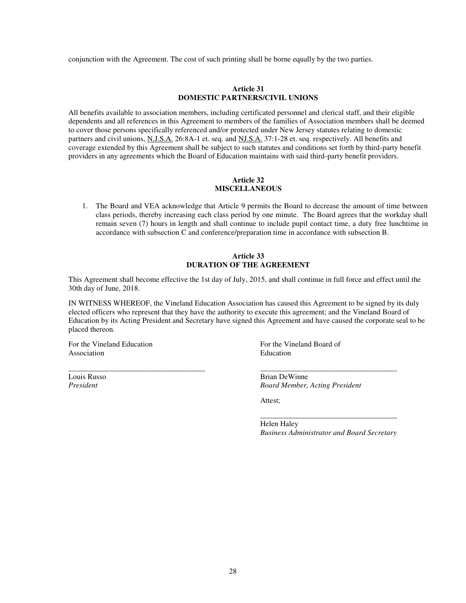conjunction with the Agreement. The cost of such printing shall be borne equally by the two parties.

## **Article 31 DOMESTIC PARTNERS/CIVIL UNIONS**

All benefits available to association members, including certificated personnel and clerical staff, and their eligible dependents and all references in this Agreement to members of the families of Association members shall be deemed to cover those persons specifically referenced and/or protected under New Jersey statutes relating to domestic partners and civil unions, N.J.S.A. 26:8A-1 et. seq. and NJ.S.A. 37:1-28 et. seq. respectively. All benefits and coverage extended by this Agreement shall be subject to such statutes and conditions set forth by third-party benefit providers in any agreements which the Board of Education maintains with said third-party benefit providers.

### **Article 32 MISCELLANEOUS**

1. The Board and VEA acknowledge that Article 9 permits the Board to decrease the amount of time between class periods, thereby increasing each class period by one minute. The Board agrees that the workday shall remain seven (7) hours in length and shall continue to include pupil contact time, a duty free lunchtime in accordance with subsection C and conference/preparation time in accordance with subsection B.

### **Article 33 DURATION OF THE AGREEMENT**

This Agreement shall become effective the 1st day of July, 2015, and shall continue in full force and effect until the 30th day of June, 2018.

IN WITNESS WHEREOF, the Vineland Education Association has caused this Agreement to be signed by its duly elected officers who represent that they have the authority to execute this agreement; and the Vineland Board of Education by its Acting President and Secretary have signed this Agreement and have caused the corporate seal to be placed thereon.

\_\_\_\_\_\_\_\_\_\_\_\_\_\_\_\_\_\_\_\_\_\_\_\_\_\_\_\_\_\_\_\_\_\_\_\_ \_\_\_\_\_\_\_\_\_\_\_\_\_\_\_\_\_\_\_\_\_\_\_\_\_\_\_\_\_\_\_\_\_\_\_\_

For the Vineland Education For the Vineland Board of Association **Education** 

Louis Russo Brian DeWinne *President Board Member, Acting President*

Attest;

\_\_\_\_\_\_\_\_\_\_\_\_\_\_\_\_\_\_\_\_\_\_\_\_\_\_\_\_\_\_\_\_\_\_\_\_ Helen Haley *Business Administrator and Board Secretary*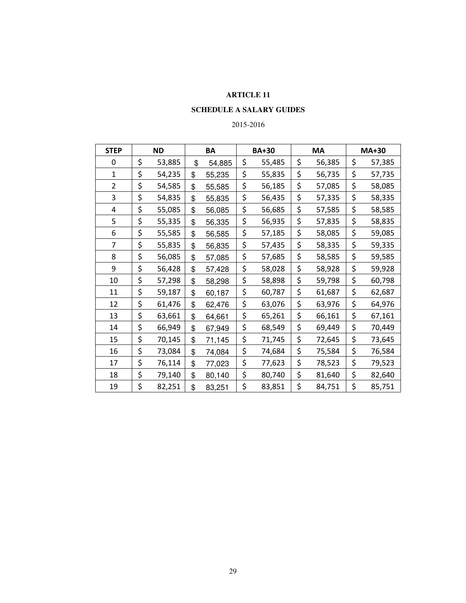# **SCHEDULE A SALARY GUIDES**

# 2015-2016

| <b>STEP</b>    | <b>ND</b> |        | BA           | <b>BA+30</b> | MA |        | <b>MA+30</b> |        |
|----------------|-----------|--------|--------------|--------------|----|--------|--------------|--------|
| 0              | \$        | 53,885 | \$<br>54,885 | \$<br>55,485 | \$ | 56,385 | \$           | 57,385 |
| $\mathbf{1}$   | \$        | 54,235 | \$<br>55,235 | \$<br>55,835 | \$ | 56,735 | \$           | 57,735 |
| 2              | \$        | 54,585 | \$<br>55,585 | \$<br>56,185 | \$ | 57,085 | \$           | 58,085 |
| 3              | \$        | 54,835 | \$<br>55,835 | \$<br>56,435 | \$ | 57,335 | \$           | 58,335 |
| 4              | \$        | 55,085 | \$<br>56,085 | \$<br>56,685 | \$ | 57,585 | \$           | 58,585 |
| 5              | \$        | 55,335 | \$<br>56,335 | \$<br>56,935 | \$ | 57,835 | \$           | 58,835 |
| 6              | \$        | 55,585 | \$<br>56,585 | \$<br>57,185 | \$ | 58,085 | \$           | 59,085 |
| $\overline{7}$ | \$        | 55,835 | \$<br>56,835 | \$<br>57,435 | \$ | 58,335 | \$           | 59,335 |
| 8              | \$        | 56,085 | \$<br>57,085 | \$<br>57,685 | \$ | 58,585 | \$           | 59,585 |
| 9              | \$        | 56,428 | \$<br>57,428 | \$<br>58,028 | \$ | 58,928 | \$           | 59,928 |
| 10             | \$        | 57,298 | \$<br>58,298 | \$<br>58,898 | \$ | 59,798 | \$           | 60,798 |
| 11             | \$        | 59,187 | \$<br>60,187 | \$<br>60,787 | \$ | 61,687 | \$           | 62,687 |
| 12             | \$        | 61,476 | \$<br>62,476 | \$<br>63,076 | \$ | 63,976 | \$           | 64,976 |
| 13             | \$        | 63,661 | \$<br>64,661 | \$<br>65,261 | \$ | 66,161 | \$           | 67,161 |
| 14             | \$        | 66,949 | \$<br>67,949 | \$<br>68,549 | \$ | 69,449 | \$           | 70,449 |
| 15             | \$        | 70,145 | \$<br>71,145 | \$<br>71,745 | \$ | 72,645 | \$           | 73,645 |
| 16             | \$        | 73,084 | \$<br>74,084 | \$<br>74,684 | \$ | 75,584 | \$           | 76,584 |
| 17             | \$        | 76,114 | \$<br>77,023 | \$<br>77,623 | \$ | 78,523 | \$           | 79,523 |
| 18             | \$        | 79,140 | \$<br>80,140 | \$<br>80,740 | \$ | 81,640 | \$           | 82,640 |
| 19             | \$        | 82,251 | \$<br>83,251 | \$<br>83,851 | \$ | 84,751 | \$           | 85,751 |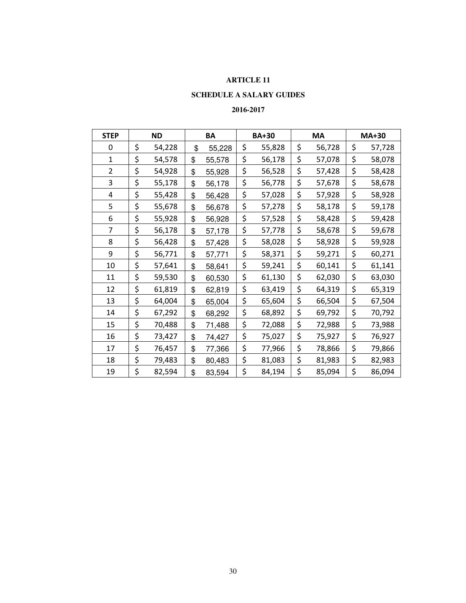# **SCHEDULE A SALARY GUIDES**

# **2016-2017**

| <b>STEP</b>    | <b>ND</b> |        | BA           | <b>BA+30</b> |        | <b>MA</b> |        | <b>MA+30</b> |        |
|----------------|-----------|--------|--------------|--------------|--------|-----------|--------|--------------|--------|
| 0              | \$        | 54,228 | \$<br>55,228 | \$           | 55,828 | \$        | 56,728 | \$           | 57,728 |
| 1              | \$        | 54,578 | \$<br>55,578 | \$           | 56,178 | \$        | 57,078 | \$           | 58,078 |
| $\overline{2}$ | \$        | 54,928 | \$<br>55,928 | \$           | 56,528 | \$        | 57,428 | \$           | 58,428 |
| 3              | \$        | 55,178 | \$<br>56,178 | \$           | 56,778 | \$        | 57,678 | \$           | 58,678 |
| 4              | \$        | 55,428 | \$<br>56,428 | \$           | 57,028 | \$        | 57,928 | \$           | 58,928 |
| 5              | \$        | 55,678 | \$<br>56,678 | \$           | 57,278 | \$        | 58,178 | \$           | 59,178 |
| 6              | \$        | 55,928 | \$<br>56,928 | \$           | 57,528 | \$        | 58,428 | \$           | 59,428 |
| 7              | \$        | 56,178 | \$<br>57,178 | \$           | 57,778 | \$        | 58,678 | \$           | 59,678 |
| 8              | \$        | 56,428 | \$<br>57,428 | \$           | 58,028 | \$        | 58,928 | \$           | 59,928 |
| 9              | \$        | 56,771 | \$<br>57,771 | \$           | 58,371 | \$        | 59,271 | \$           | 60,271 |
| 10             | \$        | 57,641 | \$<br>58,641 | \$           | 59,241 | \$        | 60,141 | \$           | 61,141 |
| 11             | \$        | 59,530 | \$<br>60,530 | \$           | 61,130 | \$        | 62,030 | \$           | 63,030 |
| 12             | \$        | 61,819 | \$<br>62,819 | \$           | 63,419 | \$        | 64,319 | \$           | 65,319 |
| 13             | \$        | 64,004 | \$<br>65,004 | \$           | 65,604 | \$        | 66,504 | \$           | 67,504 |
| 14             | \$        | 67,292 | \$<br>68,292 | \$           | 68,892 | \$        | 69,792 | \$           | 70,792 |
| 15             | \$        | 70,488 | \$<br>71,488 | \$           | 72,088 | \$        | 72,988 | \$           | 73,988 |
| 16             | \$        | 73,427 | \$<br>74,427 | \$           | 75,027 | \$        | 75,927 | \$           | 76,927 |
| 17             | \$        | 76,457 | \$<br>77,366 | \$           | 77,966 | \$        | 78,866 | \$           | 79,866 |
| 18             | \$        | 79,483 | \$<br>80,483 | \$           | 81,083 | \$        | 81,983 | \$           | 82,983 |
| 19             | \$        | 82,594 | \$<br>83,594 | \$           | 84,194 | \$        | 85,094 | \$           | 86,094 |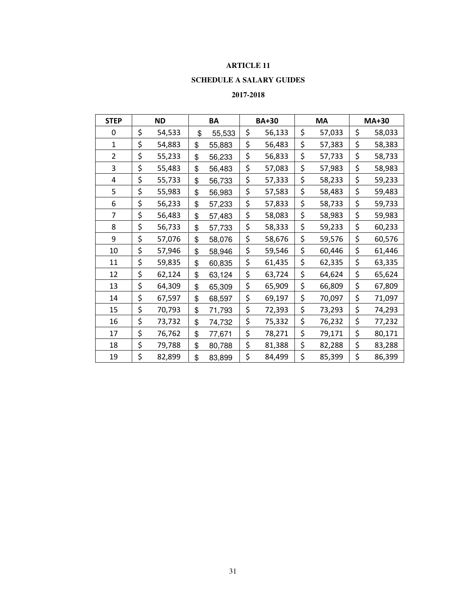# **SCHEDULE A SALARY GUIDES**

## **2017-2018**

| <b>STEP</b>    | <b>ND</b>    | BA           | <b>BA+30</b> |        | MA           | <b>MA+30</b> |
|----------------|--------------|--------------|--------------|--------|--------------|--------------|
| 0              | \$<br>54,533 | \$<br>55,533 | \$           | 56,133 | \$<br>57,033 | \$<br>58,033 |
| $\mathbf{1}$   | \$<br>54,883 | \$<br>55,883 | \$           | 56,483 | \$<br>57,383 | \$<br>58,383 |
| $\overline{2}$ | \$<br>55,233 | \$<br>56,233 | \$           | 56,833 | \$<br>57,733 | \$<br>58,733 |
| 3              | \$<br>55,483 | \$<br>56,483 | \$           | 57,083 | \$<br>57,983 | \$<br>58,983 |
| 4              | \$<br>55,733 | \$<br>56,733 | \$           | 57,333 | \$<br>58,233 | \$<br>59,233 |
| 5              | \$<br>55,983 | \$<br>56,983 | \$           | 57,583 | \$<br>58,483 | \$<br>59,483 |
| 6              | \$<br>56,233 | \$<br>57,233 | \$           | 57,833 | \$<br>58,733 | \$<br>59,733 |
| $\overline{7}$ | \$<br>56,483 | \$<br>57,483 | \$           | 58,083 | \$<br>58,983 | \$<br>59,983 |
| 8              | \$<br>56,733 | \$<br>57,733 | \$           | 58,333 | \$<br>59,233 | \$<br>60,233 |
| 9              | \$<br>57,076 | \$<br>58,076 | \$           | 58,676 | \$<br>59,576 | \$<br>60,576 |
| 10             | \$<br>57,946 | \$<br>58,946 | \$           | 59,546 | \$<br>60,446 | \$<br>61,446 |
| 11             | \$<br>59,835 | \$<br>60,835 | \$           | 61,435 | \$<br>62,335 | \$<br>63,335 |
| 12             | \$<br>62,124 | \$<br>63,124 | \$           | 63,724 | \$<br>64,624 | \$<br>65,624 |
| 13             | \$<br>64,309 | \$<br>65,309 | \$           | 65,909 | \$<br>66,809 | \$<br>67,809 |
| 14             | \$<br>67,597 | \$<br>68,597 | \$           | 69,197 | \$<br>70,097 | \$<br>71,097 |
| 15             | \$<br>70,793 | \$<br>71,793 | \$           | 72,393 | \$<br>73,293 | \$<br>74,293 |
| 16             | \$<br>73,732 | \$<br>74,732 | \$           | 75,332 | \$<br>76,232 | \$<br>77,232 |
| 17             | \$<br>76,762 | \$<br>77,671 | \$           | 78,271 | \$<br>79,171 | \$<br>80,171 |
| 18             | \$<br>79,788 | \$<br>80,788 | \$           | 81,388 | \$<br>82,288 | \$<br>83,288 |
| 19             | \$<br>82,899 | \$<br>83,899 | \$           | 84,499 | \$<br>85,399 | \$<br>86,399 |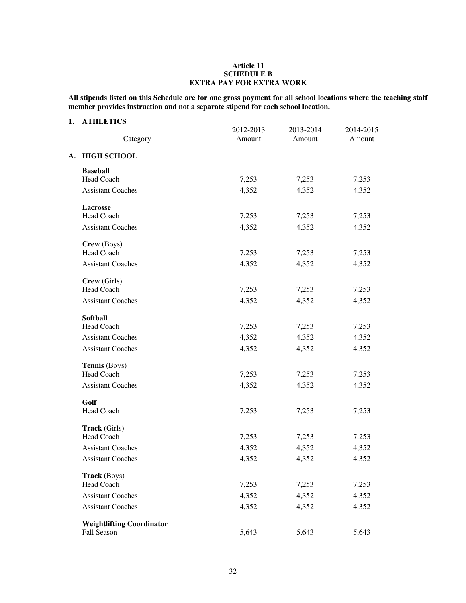## **Article 11 SCHEDULE B EXTRA PAY FOR EXTRA WORK**

**All stipends listed on this Schedule are for one gross payment for all school locations where the teaching staff member provides instruction and not a separate stipend for each school location.** 

## **1. ATHLETICS**

| Category                         | 2012-2013<br>Amount | 2013-2014<br>Amount | 2014-2015<br>Amount |
|----------------------------------|---------------------|---------------------|---------------------|
| A. HIGH SCHOOL                   |                     |                     |                     |
| <b>Baseball</b>                  |                     |                     |                     |
| Head Coach                       | 7,253               | 7,253               | 7,253               |
| <b>Assistant Coaches</b>         | 4,352               | 4,352               | 4,352               |
| Lacrosse                         |                     |                     |                     |
| Head Coach                       | 7,253               | 7,253               | 7,253               |
| <b>Assistant Coaches</b>         | 4,352               | 4,352               | 4,352               |
| Crew (Boys)                      |                     |                     |                     |
| <b>Head Coach</b>                | 7,253               | 7,253               | 7,253               |
| <b>Assistant Coaches</b>         | 4,352               | 4,352               | 4,352               |
| Crew (Girls)                     |                     |                     |                     |
| <b>Head Coach</b>                | 7,253               | 7,253               | 7,253               |
| <b>Assistant Coaches</b>         | 4,352               | 4,352               | 4,352               |
| <b>Softball</b>                  |                     |                     |                     |
| Head Coach                       | 7,253               | 7,253               | 7,253               |
| <b>Assistant Coaches</b>         | 4,352               | 4,352               | 4,352               |
| <b>Assistant Coaches</b>         | 4,352               | 4,352               | 4,352               |
| Tennis (Boys)                    |                     |                     |                     |
| <b>Head Coach</b>                | 7,253               | 7,253               | 7,253               |
| <b>Assistant Coaches</b>         | 4,352               | 4,352               | 4,352               |
| Golf                             |                     |                     |                     |
| <b>Head Coach</b>                | 7,253               | 7,253               | 7,253               |
| Track (Girls)                    |                     |                     |                     |
| <b>Head Coach</b>                | 7,253               | 7,253               | 7,253               |
| <b>Assistant Coaches</b>         | 4,352               | 4,352               | 4,352               |
| <b>Assistant Coaches</b>         | 4,352               | 4,352               | 4,352               |
| Track (Boys)                     |                     |                     |                     |
| <b>Head Coach</b>                | 7,253               | 7,253               | 7,253               |
| <b>Assistant Coaches</b>         | 4,352               | 4,352               | 4,352               |
| <b>Assistant Coaches</b>         | 4,352               | 4,352               | 4,352               |
| <b>Weightlifting Coordinator</b> |                     |                     |                     |
| Fall Season                      | 5,643               | 5,643               | 5,643               |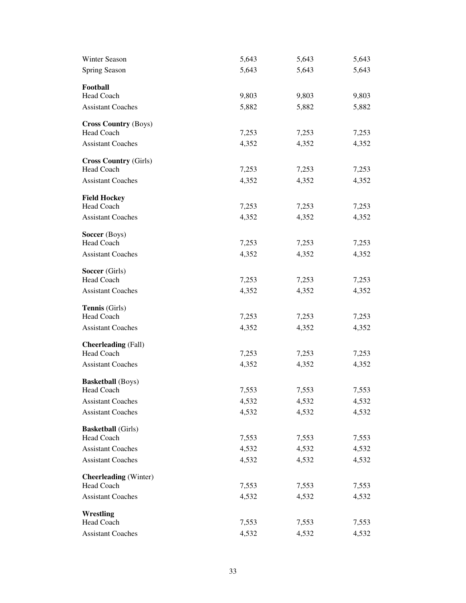| Winter Season                | 5,643 | 5,643 | 5,643 |
|------------------------------|-------|-------|-------|
| Spring Season                | 5,643 | 5,643 | 5,643 |
| Football                     |       |       |       |
| <b>Head Coach</b>            | 9,803 | 9,803 | 9,803 |
| <b>Assistant Coaches</b>     | 5,882 | 5,882 | 5,882 |
| <b>Cross Country (Boys)</b>  |       |       |       |
| <b>Head Coach</b>            | 7,253 | 7,253 | 7,253 |
| <b>Assistant Coaches</b>     | 4,352 | 4,352 | 4,352 |
| <b>Cross Country (Girls)</b> |       |       |       |
| Head Coach                   | 7,253 | 7,253 | 7,253 |
| <b>Assistant Coaches</b>     | 4,352 | 4,352 | 4,352 |
| <b>Field Hockey</b>          |       |       |       |
| <b>Head Coach</b>            | 7,253 | 7,253 | 7,253 |
| <b>Assistant Coaches</b>     | 4,352 | 4,352 | 4,352 |
| Soccer (Boys)                |       |       |       |
| Head Coach                   | 7,253 | 7,253 | 7,253 |
| <b>Assistant Coaches</b>     | 4,352 | 4,352 | 4,352 |
| Soccer (Girls)               |       |       |       |
| Head Coach                   | 7,253 | 7,253 | 7,253 |
| <b>Assistant Coaches</b>     | 4,352 | 4,352 | 4,352 |
| Tennis (Girls)               |       |       |       |
| Head Coach                   | 7,253 | 7,253 | 7,253 |
| <b>Assistant Coaches</b>     | 4,352 | 4,352 | 4,352 |
| <b>Cheerleading</b> (Fall)   |       |       |       |
| Head Coach                   | 7,253 | 7,253 | 7,253 |
| <b>Assistant Coaches</b>     | 4,352 | 4,352 | 4,352 |
| <b>Basketball</b> (Boys)     |       |       |       |
| Head Coach                   | 7,553 | 7,553 | 7,553 |
| <b>Assistant Coaches</b>     | 4,532 | 4,532 | 4,532 |
| <b>Assistant Coaches</b>     | 4,532 | 4,532 | 4,532 |
| <b>Basketball</b> (Girls)    |       |       |       |
| Head Coach                   | 7,553 | 7,553 | 7,553 |
| <b>Assistant Coaches</b>     | 4,532 | 4,532 | 4,532 |
| <b>Assistant Coaches</b>     | 4,532 | 4,532 | 4,532 |
| <b>Cheerleading</b> (Winter) |       |       |       |
| Head Coach                   | 7,553 | 7,553 | 7,553 |
| <b>Assistant Coaches</b>     | 4,532 | 4,532 | 4,532 |
| Wrestling                    |       |       |       |
| Head Coach                   | 7,553 | 7,553 | 7,553 |
| <b>Assistant Coaches</b>     | 4,532 | 4,532 | 4,532 |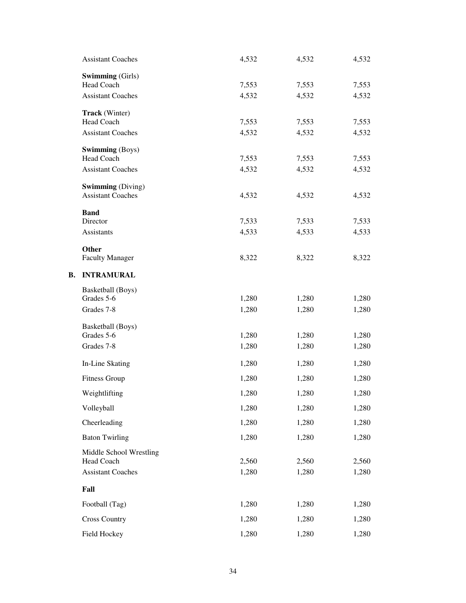| <b>Assistant Coaches</b> | 4,532 | 4,532 | 4,532 |
|--------------------------|-------|-------|-------|
| <b>Swimming</b> (Girls)  |       |       |       |
| <b>Head Coach</b>        | 7,553 | 7,553 | 7,553 |
| <b>Assistant Coaches</b> | 4,532 | 4,532 | 4,532 |
| <b>Track</b> (Winter)    |       |       |       |
| Head Coach               | 7,553 | 7,553 | 7,553 |
| <b>Assistant Coaches</b> | 4,532 | 4,532 | 4,532 |
| <b>Swimming</b> (Boys)   |       |       |       |
| <b>Head Coach</b>        | 7,553 | 7,553 | 7,553 |
| <b>Assistant Coaches</b> | 4,532 | 4,532 | 4,532 |
| <b>Swimming</b> (Diving) |       |       |       |
| <b>Assistant Coaches</b> | 4,532 | 4,532 | 4,532 |
| <b>Band</b>              |       |       |       |
| Director                 | 7,533 | 7,533 | 7,533 |
| <b>Assistants</b>        | 4,533 | 4,533 | 4,533 |
| Other                    |       |       |       |
| <b>Faculty Manager</b>   | 8,322 | 8,322 | 8,322 |
| <b>INTRAMURAL</b>        |       |       |       |
| Basketball (Boys)        |       |       |       |
| Grades 5-6               | 1,280 | 1,280 | 1,280 |
| Grades 7-8               | 1,280 | 1,280 | 1,280 |
| Basketball (Boys)        |       |       |       |
| Grades 5-6               | 1,280 | 1,280 | 1,280 |
| Grades 7-8               | 1,280 | 1,280 | 1,280 |
| In-Line Skating          | 1,280 | 1,280 | 1,280 |
| <b>Fitness Group</b>     | 1,280 | 1,280 | 1,280 |
| Weightlifting            | 1,280 | 1,280 | 1,280 |
| Volleyball               | 1,280 | 1,280 | 1,280 |
| Cheerleading             | 1,280 | 1,280 | 1,280 |
| <b>Baton Twirling</b>    | 1,280 | 1,280 | 1,280 |
| Middle School Wrestling  |       |       |       |
| <b>Head Coach</b>        | 2,560 | 2,560 | 2,560 |
| <b>Assistant Coaches</b> | 1,280 | 1,280 | 1,280 |
| Fall                     |       |       |       |
| Football (Tag)           | 1,280 | 1,280 | 1,280 |
| <b>Cross Country</b>     | 1,280 | 1,280 | 1,280 |
| Field Hockey             | 1,280 | 1,280 | 1,280 |

**B.**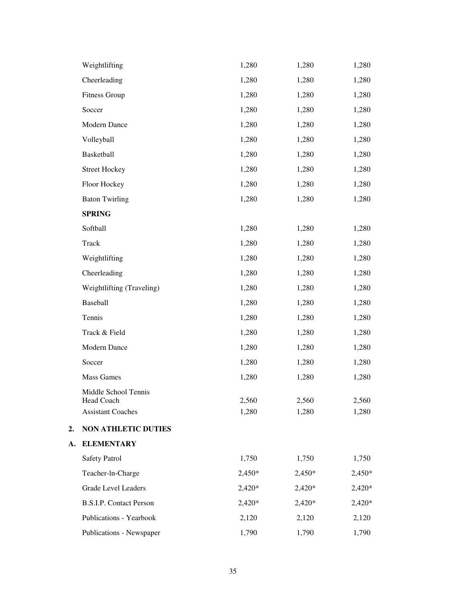|    | Weightlifting                          | 1,280          | 1,280          | 1,280          |
|----|----------------------------------------|----------------|----------------|----------------|
|    | Cheerleading                           | 1,280          | 1,280          | 1,280          |
|    | <b>Fitness Group</b>                   | 1,280          | 1,280          | 1,280          |
|    | Soccer                                 | 1,280          | 1,280          | 1,280          |
|    | Modern Dance                           | 1,280          | 1,280          | 1,280          |
|    | Volleyball                             | 1,280          | 1,280          | 1,280          |
|    | Basketball                             | 1,280          | 1,280          | 1,280          |
|    | <b>Street Hockey</b>                   | 1,280          | 1,280          | 1,280          |
|    | Floor Hockey                           | 1,280          | 1,280          | 1,280          |
|    | <b>Baton Twirling</b>                  | 1,280          | 1,280          | 1,280          |
|    | <b>SPRING</b>                          |                |                |                |
|    | Softball                               | 1,280          | 1,280          | 1,280          |
|    | Track                                  | 1,280          | 1,280          | 1,280          |
|    | Weightlifting                          | 1,280          | 1,280          | 1,280          |
|    | Cheerleading                           | 1,280          | 1,280          | 1,280          |
|    | Weightlifting (Traveling)              | 1,280          | 1,280          | 1,280          |
|    | Baseball                               | 1,280          | 1,280          | 1,280          |
|    | Tennis                                 | 1,280          | 1,280          | 1,280          |
|    | Track & Field                          | 1,280          | 1,280          | 1,280          |
|    | Modern Dance                           | 1,280          | 1,280          | 1,280          |
|    | Soccer                                 | 1,280          | 1,280          | 1,280          |
|    | <b>Mass Games</b>                      | 1,280          | 1,280          | 1,280          |
|    | Middle School Tennis                   |                |                |                |
|    | Head Coach<br><b>Assistant Coaches</b> | 2,560<br>1,280 | 2,560<br>1,280 | 2,560<br>1,280 |
| 2. | <b>NON ATHLETIC DUTIES</b>             |                |                |                |
| A. | <b>ELEMENTARY</b>                      |                |                |                |
|    | <b>Safety Patrol</b>                   | 1,750          | 1,750          | 1,750          |
|    | Teacher-ln-Charge                      | $2,450*$       | 2,450*         | $2,450*$       |
|    | <b>Grade Level Leaders</b>             | $2,420*$       | 2,420*         | 2,420*         |
|    | <b>B.S.I.P.</b> Contact Person         | 2,420*         | 2,420*         | 2,420*         |
|    | Publications - Yearbook                | 2,120          | 2,120          | 2,120          |
|    | Publications - Newspaper               | 1,790          | 1,790          |                |
|    |                                        |                |                | 1,790          |

**A.**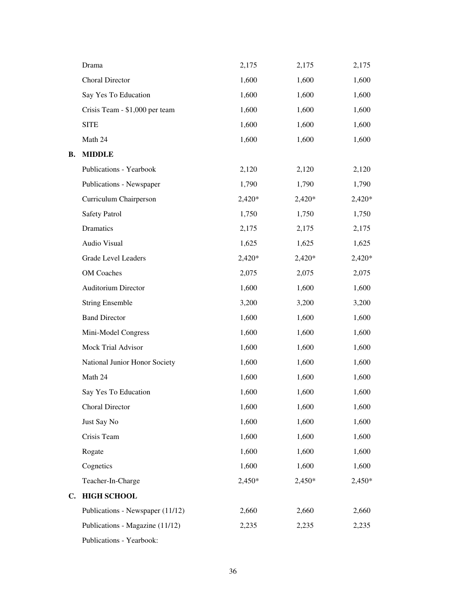|           | Drama                            | 2,175  | 2,175    | 2,175  |
|-----------|----------------------------------|--------|----------|--------|
|           | <b>Choral Director</b>           | 1,600  | 1,600    | 1,600  |
|           | Say Yes To Education             | 1,600  | 1,600    | 1,600  |
|           | Crisis Team - \$1,000 per team   | 1,600  | 1,600    | 1,600  |
|           | <b>SITE</b>                      | 1,600  | 1,600    | 1,600  |
|           | Math 24                          | 1,600  | 1,600    | 1,600  |
| <b>B.</b> | <b>MIDDLE</b>                    |        |          |        |
|           | Publications - Yearbook          | 2,120  | 2,120    | 2,120  |
|           | Publications - Newspaper         | 1,790  | 1,790    | 1,790  |
|           | Curriculum Chairperson           | 2,420* | $2,420*$ | 2,420* |
|           | <b>Safety Patrol</b>             | 1,750  | 1,750    | 1,750  |
|           | Dramatics                        | 2,175  | 2,175    | 2,175  |
|           | Audio Visual                     | 1,625  | 1,625    | 1,625  |
|           | <b>Grade Level Leaders</b>       | 2,420* | 2,420*   | 2,420* |
|           | <b>OM</b> Coaches                | 2,075  | 2,075    | 2,075  |
|           | Auditorium Director              | 1,600  | 1,600    | 1,600  |
|           | <b>String Ensemble</b>           | 3,200  | 3,200    | 3,200  |
|           | <b>Band Director</b>             | 1,600  | 1,600    | 1,600  |
|           | Mini-Model Congress              | 1,600  | 1,600    | 1,600  |
|           | Mock Trial Advisor               | 1,600  | 1,600    | 1,600  |
|           | National Junior Honor Society    | 1,600  | 1,600    | 1,600  |
|           | Math 24                          | 1,600  | 1,600    | 1,600  |
|           | Say Yes To Education             | 1,600  | 1,600    | 1,600  |
|           | Choral Director                  | 1,600  | 1,600    | 1,600  |
|           | Just Say No                      | 1,600  | 1,600    | 1,600  |
|           | Crisis Team                      | 1,600  | 1,600    | 1,600  |
|           | Rogate                           | 1,600  | 1,600    | 1,600  |
|           | Cognetics                        | 1,600  | 1,600    | 1,600  |
|           | Teacher-In-Charge                | 2,450* | 2,450*   | 2,450* |
| C.        | <b>HIGH SCHOOL</b>               |        |          |        |
|           | Publications - Newspaper (11/12) | 2,660  | 2,660    | 2,660  |
|           | Publications - Magazine (11/12)  | 2,235  | 2,235    | 2,235  |
|           | Publications - Yearbook:         |        |          |        |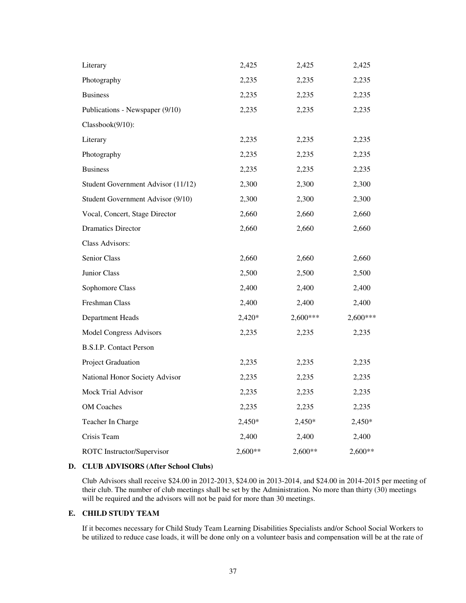| Literary                           | 2,425   | 2,425      | 2,425      |
|------------------------------------|---------|------------|------------|
| Photography                        | 2,235   | 2,235      | 2,235      |
| <b>Business</b>                    | 2,235   | 2,235      | 2,235      |
| Publications - Newspaper (9/10)    | 2,235   | 2,235      | 2,235      |
| Classbook(9/10):                   |         |            |            |
| Literary                           | 2,235   | 2,235      | 2,235      |
| Photography                        | 2,235   | 2,235      | 2,235      |
| <b>Business</b>                    | 2,235   | 2,235      | 2,235      |
| Student Government Advisor (11/12) | 2,300   | 2,300      | 2,300      |
| Student Government Advisor (9/10)  | 2,300   | 2,300      | 2,300      |
| Vocal, Concert, Stage Director     | 2,660   | 2,660      | 2,660      |
| <b>Dramatics Director</b>          | 2,660   | 2,660      | 2,660      |
| Class Advisors:                    |         |            |            |
| Senior Class                       | 2,660   | 2,660      | 2,660      |
| Junior Class                       | 2,500   | 2,500      | 2,500      |
| Sophomore Class                    | 2,400   | 2,400      | 2,400      |
| Freshman Class                     | 2,400   | 2,400      | 2,400      |
| Department Heads                   | 2,420*  | $2,600***$ | $2,600***$ |
| <b>Model Congress Advisors</b>     | 2,235   | 2,235      | 2,235      |
| <b>B.S.I.P.</b> Contact Person     |         |            |            |
| Project Graduation                 | 2,235   | 2,235      | 2,235      |
| National Honor Society Advisor     | 2,235   | 2,235      | 2,235      |
| <b>Mock Trial Advisor</b>          | 2,235   | 2,235      | 2,235      |
| <b>OM</b> Coaches                  | 2,235   | 2,235      | 2,235      |
| Teacher In Charge                  | 2,450*  | $2,450*$   | 2,450*     |
| Crisis Team                        | 2,400   | 2,400      | 2,400      |
| <b>ROTC</b> Instructor/Supervisor  | 2,600** | 2,600**    | 2,600**    |

### **D. CLUB ADVISORS (After School Clubs)**

Club Advisors shall receive \$24.00 in 2012-2013, \$24.00 in 2013-2014, and \$24.00 in 2014-2015 per meeting of their club. The number of club meetings shall be set by the Administration. No more than thirty (30) meetings will be required and the advisors will not be paid for more than 30 meetings.

# **E. CHILD STUDY TEAM**

If it becomes necessary for Child Study Team Learning Disabilities Specialists and/or School Social Workers to be utilized to reduce case loads, it will be done only on a volunteer basis and compensation will be at the rate of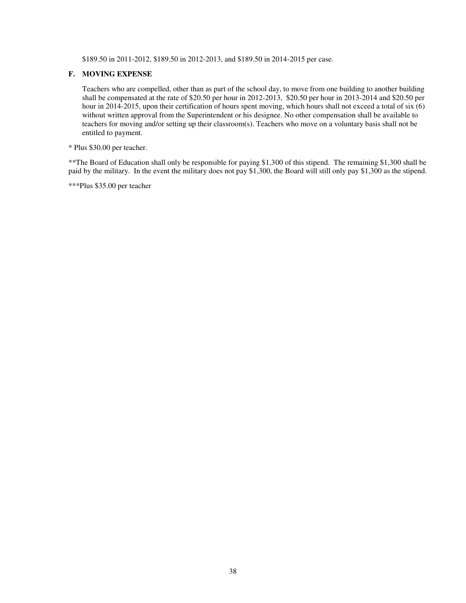\$189.50 in 2011-2012, \$189.50 in 2012-2013, and \$189.50 in 2014-2015 per case.

#### **F. MOVING EXPENSE**

Teachers who are compelled, other than as part of the school day, to move from one building to another building shall be compensated at the rate of \$20.50 per hour in 2012-2013, \$20.50 per hour in 2013-2014 and \$20.50 per hour in 2014-2015, upon their certification of hours spent moving, which hours shall not exceed a total of six (6) without written approval from the Superintendent or his designee. No other compensation shall be available to teachers for moving and/or setting up their classroom(s). Teachers who move on a voluntary basis shall not be entitled to payment.

\* Plus \$30.00 per teacher.

\*\*The Board of Education shall only be responsible for paying \$1,300 of this stipend. The remaining \$1,300 shall be paid by the military. In the event the military does not pay \$1,300, the Board will still only pay \$1,300 as the stipend.

\*\*\*Plus \$35.00 per teacher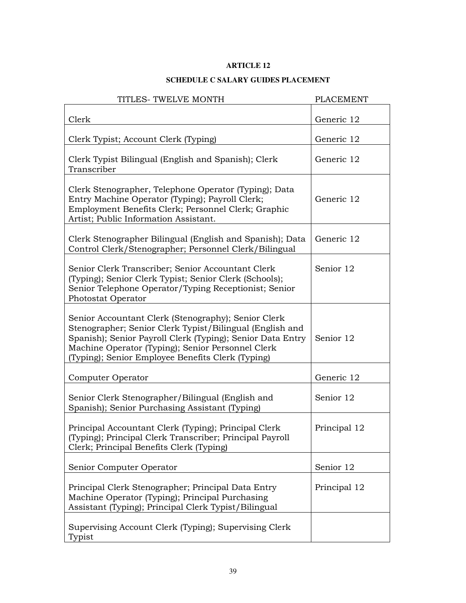# **SCHEDULE C SALARY GUIDES PLACEMENT**

| TITLES- TWELVE MONTH                                                                                                                                                                                                                                                                    | <b>PLACEMENT</b> |
|-----------------------------------------------------------------------------------------------------------------------------------------------------------------------------------------------------------------------------------------------------------------------------------------|------------------|
| Clerk                                                                                                                                                                                                                                                                                   | Generic 12       |
| Clerk Typist; Account Clerk (Typing)                                                                                                                                                                                                                                                    | Generic 12       |
| Clerk Typist Bilingual (English and Spanish); Clerk<br>Transcriber                                                                                                                                                                                                                      | Generic 12       |
| Clerk Stenographer, Telephone Operator (Typing); Data<br>Entry Machine Operator (Typing); Payroll Clerk;<br>Employment Benefits Clerk; Personnel Clerk; Graphic<br>Artist; Public Information Assistant.                                                                                | Generic 12       |
| Clerk Stenographer Bilingual (English and Spanish); Data<br>Control Clerk/Stenographer; Personnel Clerk/Bilingual                                                                                                                                                                       | Generic 12       |
| Senior Clerk Transcriber; Senior Accountant Clerk<br>(Typing); Senior Clerk Typist; Senior Clerk (Schools);<br>Senior Telephone Operator/Typing Receptionist; Senior<br>Photostat Operator                                                                                              | Senior 12        |
| Senior Accountant Clerk (Stenography); Senior Clerk<br>Stenographer; Senior Clerk Typist/Bilingual (English and<br>Spanish); Senior Payroll Clerk (Typing); Senior Data Entry<br>Machine Operator (Typing); Senior Personnel Clerk<br>(Typing); Senior Employee Benefits Clerk (Typing) | Senior 12        |
| Computer Operator                                                                                                                                                                                                                                                                       | Generic 12       |
| Senior Clerk Stenographer/Bilingual (English and<br>Spanish); Senior Purchasing Assistant (Typing)                                                                                                                                                                                      | Senior 12        |
| Principal Accountant Clerk (Typing); Principal Clerk<br>(Typing); Principal Clerk Transcriber; Principal Payroll<br>Clerk; Principal Benefits Clerk (Typing)                                                                                                                            | Principal 12     |
| Senior Computer Operator                                                                                                                                                                                                                                                                | Senior 12        |
| Principal Clerk Stenographer; Principal Data Entry<br>Machine Operator (Typing); Principal Purchasing<br>Assistant (Typing); Principal Clerk Typist/Bilingual                                                                                                                           | Principal 12     |
| Supervising Account Clerk (Typing); Supervising Clerk<br>Typist                                                                                                                                                                                                                         |                  |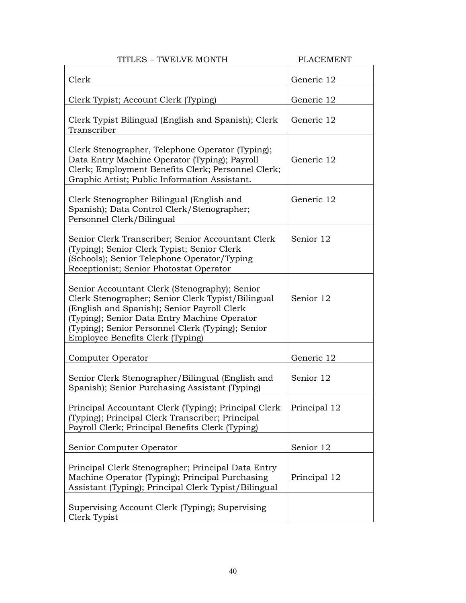| TITLES - TWELVE MONTH                                                                                                                                                                                                                                                                      | <b>PLACEMENT</b> |
|--------------------------------------------------------------------------------------------------------------------------------------------------------------------------------------------------------------------------------------------------------------------------------------------|------------------|
| Clerk                                                                                                                                                                                                                                                                                      | Generic 12       |
| Clerk Typist; Account Clerk (Typing)                                                                                                                                                                                                                                                       | Generic 12       |
| Clerk Typist Bilingual (English and Spanish); Clerk<br>Transcriber                                                                                                                                                                                                                         | Generic 12       |
| Clerk Stenographer, Telephone Operator (Typing);<br>Data Entry Machine Operator (Typing); Payroll<br>Clerk; Employment Benefits Clerk; Personnel Clerk;<br>Graphic Artist; Public Information Assistant.                                                                                   | Generic 12       |
| Clerk Stenographer Bilingual (English and<br>Spanish); Data Control Clerk/Stenographer;<br>Personnel Clerk/Bilingual                                                                                                                                                                       | Generic 12       |
| Senior Clerk Transcriber; Senior Accountant Clerk<br>(Typing); Senior Clerk Typist; Senior Clerk<br>(Schools); Senior Telephone Operator/Typing<br>Receptionist; Senior Photostat Operator                                                                                                 | Senior 12        |
| Senior Accountant Clerk (Stenography); Senior<br>Clerk Stenographer; Senior Clerk Typist/Bilingual<br>(English and Spanish); Senior Payroll Clerk<br>(Typing); Senior Data Entry Machine Operator<br>(Typing); Senior Personnel Clerk (Typing); Senior<br>Employee Benefits Clerk (Typing) | Senior 12        |
| Computer Operator                                                                                                                                                                                                                                                                          | Generic 12       |
| Senior Clerk Stenographer/Bilingual (English and<br>Spanish); Senior Purchasing Assistant (Typing)                                                                                                                                                                                         | Senior 12        |
| Principal Accountant Clerk (Typing); Principal Clerk<br>(Typing); Principal Clerk Transcriber; Principal<br>Payroll Clerk; Principal Benefits Clerk (Typing)                                                                                                                               | Principal 12     |
| Senior Computer Operator                                                                                                                                                                                                                                                                   | Senior 12        |
| Principal Clerk Stenographer; Principal Data Entry<br>Machine Operator (Typing); Principal Purchasing<br>Assistant (Typing); Principal Clerk Typist/Bilingual                                                                                                                              | Principal 12     |
| Supervising Account Clerk (Typing); Supervising<br>Clerk Typist                                                                                                                                                                                                                            |                  |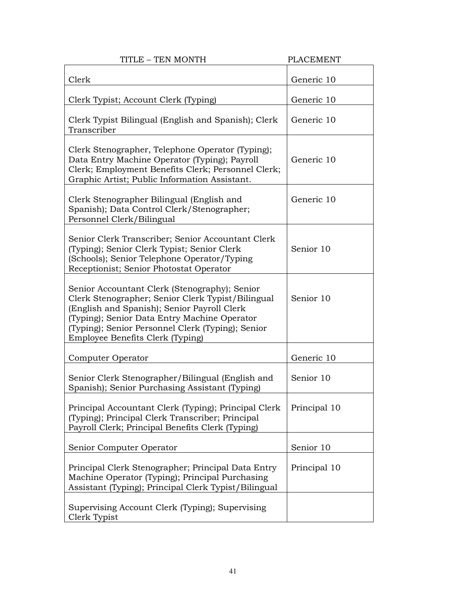| TITLE - TEN MONTH                                                                                                                                                                                                                                                                          | <b>PLACEMENT</b> |
|--------------------------------------------------------------------------------------------------------------------------------------------------------------------------------------------------------------------------------------------------------------------------------------------|------------------|
| Clerk                                                                                                                                                                                                                                                                                      | Generic 10       |
| Clerk Typist; Account Clerk (Typing)                                                                                                                                                                                                                                                       | Generic 10       |
| Clerk Typist Bilingual (English and Spanish); Clerk<br>Transcriber                                                                                                                                                                                                                         | Generic 10       |
| Clerk Stenographer, Telephone Operator (Typing);<br>Data Entry Machine Operator (Typing); Payroll<br>Clerk; Employment Benefits Clerk; Personnel Clerk;<br>Graphic Artist; Public Information Assistant.                                                                                   | Generic 10       |
| Clerk Stenographer Bilingual (English and<br>Spanish); Data Control Clerk/Stenographer;<br>Personnel Clerk/Bilingual                                                                                                                                                                       | Generic 10       |
| Senior Clerk Transcriber; Senior Accountant Clerk<br>(Typing); Senior Clerk Typist; Senior Clerk<br>(Schools); Senior Telephone Operator/Typing<br>Receptionist; Senior Photostat Operator                                                                                                 | Senior 10        |
| Senior Accountant Clerk (Stenography); Senior<br>Clerk Stenographer; Senior Clerk Typist/Bilingual<br>(English and Spanish); Senior Payroll Clerk<br>(Typing); Senior Data Entry Machine Operator<br>(Typing); Senior Personnel Clerk (Typing); Senior<br>Employee Benefits Clerk (Typing) | Senior 10        |
| Computer Operator                                                                                                                                                                                                                                                                          | Generic 10       |
| Senior Clerk Stenographer/Bilingual (English and<br>Spanish); Senior Purchasing Assistant (Typing)                                                                                                                                                                                         | Senior 10        |
| Principal Accountant Clerk (Typing); Principal Clerk<br>(Typing); Principal Clerk Transcriber; Principal<br>Payroll Clerk; Principal Benefits Clerk (Typing)                                                                                                                               | Principal 10     |
| Senior Computer Operator                                                                                                                                                                                                                                                                   | Senior 10        |
| Principal Clerk Stenographer; Principal Data Entry<br>Machine Operator (Typing); Principal Purchasing<br>Assistant (Typing); Principal Clerk Typist/Bilingual                                                                                                                              | Principal 10     |
| Supervising Account Clerk (Typing); Supervising<br>Clerk Typist                                                                                                                                                                                                                            |                  |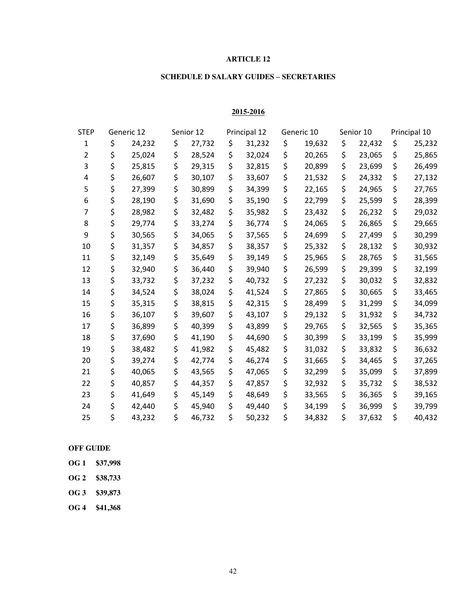# **SCHEDULE D SALARY GUIDES – SECRETARIES**

## **2015-2016**

| <b>STEP</b> | Generic 12 |        | Senior 12    |    | Principal 12 |    | Generic 10 |    | Senior 10 |    | Principal 10 |  |
|-------------|------------|--------|--------------|----|--------------|----|------------|----|-----------|----|--------------|--|
| 1           | \$         | 24,232 | \$<br>27,732 | \$ | 31,232       | \$ | 19,632     | \$ | 22,432    | \$ | 25,232       |  |
| 2           | \$         | 25,024 | \$<br>28,524 | \$ | 32,024       | \$ | 20,265     | \$ | 23,065    | \$ | 25,865       |  |
| 3           | \$         | 25,815 | \$<br>29,315 | \$ | 32,815       | \$ | 20,899     | \$ | 23,699    | \$ | 26,499       |  |
| 4           | \$         | 26,607 | \$<br>30,107 | \$ | 33,607       | \$ | 21,532     | \$ | 24,332    | \$ | 27,132       |  |
| 5           | \$         | 27,399 | \$<br>30,899 | \$ | 34,399       | \$ | 22,165     | \$ | 24,965    | \$ | 27,765       |  |
| 6           | \$         | 28,190 | \$<br>31,690 | \$ | 35,190       | \$ | 22,799     | \$ | 25,599    | \$ | 28,399       |  |
| 7           | \$         | 28,982 | \$<br>32,482 | \$ | 35,982       | \$ | 23,432     | \$ | 26,232    | \$ | 29,032       |  |
| 8           | \$         | 29,774 | \$<br>33,274 | \$ | 36,774       | \$ | 24,065     | \$ | 26,865    | \$ | 29,665       |  |
| 9           | \$         | 30,565 | \$<br>34,065 | \$ | 37,565       | \$ | 24,699     | \$ | 27,499    | \$ | 30,299       |  |
| 10          | \$         | 31,357 | \$<br>34,857 | \$ | 38,357       | \$ | 25,332     | \$ | 28,132    | \$ | 30,932       |  |
| 11          | \$         | 32,149 | \$<br>35,649 | \$ | 39,149       | \$ | 25,965     | \$ | 28,765    | \$ | 31,565       |  |
| 12          | \$         | 32,940 | \$<br>36,440 | \$ | 39,940       | \$ | 26,599     | \$ | 29,399    | \$ | 32,199       |  |
| 13          | \$         | 33,732 | \$<br>37,232 | \$ | 40,732       | \$ | 27,232     | \$ | 30,032    | \$ | 32,832       |  |
| 14          | \$         | 34,524 | \$<br>38,024 | \$ | 41,524       | \$ | 27,865     | \$ | 30,665    | \$ | 33,465       |  |
| 15          | \$         | 35,315 | \$<br>38,815 | \$ | 42,315       | \$ | 28,499     | \$ | 31,299    | \$ | 34,099       |  |
| 16          | \$         | 36,107 | \$<br>39,607 | \$ | 43,107       | \$ | 29,132     | \$ | 31,932    | \$ | 34,732       |  |
| 17          | \$         | 36,899 | \$<br>40,399 | \$ | 43,899       | \$ | 29,765     | \$ | 32,565    | \$ | 35,365       |  |
| 18          | \$         | 37,690 | \$<br>41,190 | \$ | 44,690       | \$ | 30,399     | \$ | 33,199    | \$ | 35,999       |  |
| 19          | \$         | 38,482 | \$<br>41,982 | \$ | 45,482       | \$ | 31,032     | \$ | 33,832    | \$ | 36,632       |  |
| 20          | \$         | 39,274 | \$<br>42,774 | \$ | 46,274       | \$ | 31,665     | \$ | 34,465    | \$ | 37,265       |  |
| 21          | \$         | 40,065 | \$<br>43,565 | \$ | 47,065       | \$ | 32,299     | \$ | 35,099    | \$ | 37,899       |  |
| 22          | \$         | 40,857 | \$<br>44,357 | \$ | 47,857       | \$ | 32,932     | \$ | 35,732    | \$ | 38,532       |  |
| 23          | \$         | 41,649 | \$<br>45,149 | \$ | 48,649       | \$ | 33,565     | \$ | 36,365    | \$ | 39,165       |  |
| 24          | \$         | 42,440 | \$<br>45,940 | \$ | 49,440       | \$ | 34,199     | \$ | 36,999    | \$ | 39,799       |  |
| 25          | \$         | 43,232 | \$<br>46,732 | \$ | 50,232       | \$ | 34,832     | \$ | 37,632    | \$ | 40,432       |  |

## **OFF GUIDE**

- **OG 1 \$37,998**
- **OG 2 \$38,733**
- **OG 3 \$39,873**
- **OG 4 \$41,368**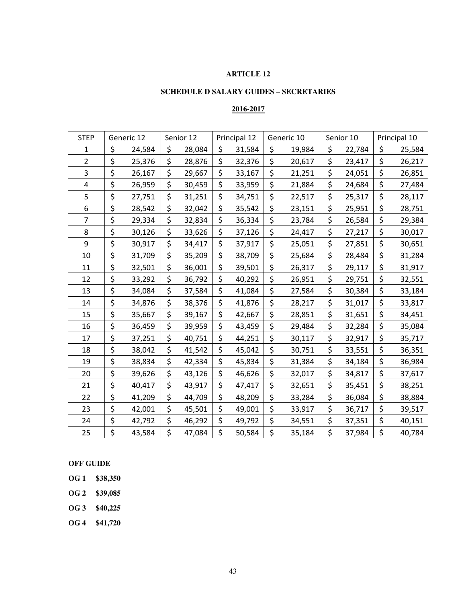# **SCHEDULE D SALARY GUIDES – SECRETARIES**

# **2016-2017**

| <b>STEP</b>    | Generic 12 |        | Senior 12    | Principal 12 |    | Generic 10 |    | Senior 10 |    | Principal 10 |  |
|----------------|------------|--------|--------------|--------------|----|------------|----|-----------|----|--------------|--|
| 1              | \$         | 24,584 | \$<br>28,084 | \$<br>31,584 | \$ | 19,984     | \$ | 22,784    | \$ | 25,584       |  |
| $\overline{2}$ | \$         | 25,376 | \$<br>28,876 | \$<br>32,376 | \$ | 20,617     | \$ | 23,417    | \$ | 26,217       |  |
| 3              | \$         | 26,167 | \$<br>29,667 | \$<br>33,167 | \$ | 21,251     | \$ | 24,051    | \$ | 26,851       |  |
| 4              | \$         | 26,959 | \$<br>30,459 | \$<br>33,959 | \$ | 21,884     | \$ | 24,684    | \$ | 27,484       |  |
| 5              | \$         | 27,751 | \$<br>31,251 | \$<br>34,751 | \$ | 22,517     | \$ | 25,317    | \$ | 28,117       |  |
| 6              | \$         | 28,542 | \$<br>32,042 | \$<br>35,542 | \$ | 23,151     | \$ | 25,951    | \$ | 28,751       |  |
| $\overline{7}$ | \$         | 29,334 | \$<br>32,834 | \$<br>36,334 | \$ | 23,784     | \$ | 26,584    | \$ | 29,384       |  |
| 8              | \$         | 30,126 | \$<br>33,626 | \$<br>37,126 | \$ | 24,417     | \$ | 27,217    | \$ | 30,017       |  |
| 9              | \$         | 30,917 | \$<br>34,417 | \$<br>37,917 | \$ | 25,051     | \$ | 27,851    | \$ | 30,651       |  |
| 10             | \$         | 31,709 | \$<br>35,209 | \$<br>38,709 | \$ | 25,684     | \$ | 28,484    | \$ | 31,284       |  |
| 11             | \$         | 32,501 | \$<br>36,001 | \$<br>39,501 | \$ | 26,317     | \$ | 29,117    | \$ | 31,917       |  |
| 12             | \$         | 33,292 | \$<br>36,792 | \$<br>40,292 | \$ | 26,951     | \$ | 29,751    | \$ | 32,551       |  |
| 13             | \$         | 34,084 | \$<br>37,584 | \$<br>41,084 | \$ | 27,584     | \$ | 30,384    | \$ | 33,184       |  |
| 14             | \$         | 34,876 | \$<br>38,376 | \$<br>41,876 | \$ | 28,217     | \$ | 31,017    | \$ | 33,817       |  |
| 15             | \$         | 35,667 | \$<br>39,167 | \$<br>42,667 | \$ | 28,851     | \$ | 31,651    | \$ | 34,451       |  |
| 16             | \$         | 36,459 | \$<br>39,959 | \$<br>43,459 | \$ | 29,484     | \$ | 32,284    | \$ | 35,084       |  |
| 17             | \$         | 37,251 | \$<br>40,751 | \$<br>44,251 | \$ | 30,117     | \$ | 32,917    | \$ | 35,717       |  |
| 18             | \$         | 38,042 | \$<br>41,542 | \$<br>45,042 | \$ | 30,751     | \$ | 33,551    | \$ | 36,351       |  |
| 19             | \$         | 38,834 | \$<br>42,334 | \$<br>45,834 | \$ | 31,384     | \$ | 34,184    | \$ | 36,984       |  |
| 20             | \$         | 39,626 | \$<br>43,126 | \$<br>46,626 | \$ | 32,017     | \$ | 34,817    | \$ | 37,617       |  |
| 21             | \$         | 40,417 | \$<br>43,917 | \$<br>47,417 | \$ | 32,651     | \$ | 35,451    | \$ | 38,251       |  |
| 22             | \$         | 41,209 | \$<br>44,709 | \$<br>48,209 | \$ | 33,284     | \$ | 36,084    | \$ | 38,884       |  |
| 23             | \$         | 42,001 | \$<br>45,501 | \$<br>49,001 | \$ | 33,917     | \$ | 36,717    | \$ | 39,517       |  |
| 24             | \$         | 42,792 | \$<br>46,292 | \$<br>49,792 | \$ | 34,551     | \$ | 37,351    | \$ | 40,151       |  |
| 25             | \$         | 43,584 | \$<br>47,084 | \$<br>50,584 | \$ | 35,184     | \$ | 37,984    | \$ | 40,784       |  |

**OFF GUIDE** 

- **OG 1 \$38,350**
- **OG 2 \$39,085**
- **OG 3 \$40,225**

**OG 4 \$41,720**